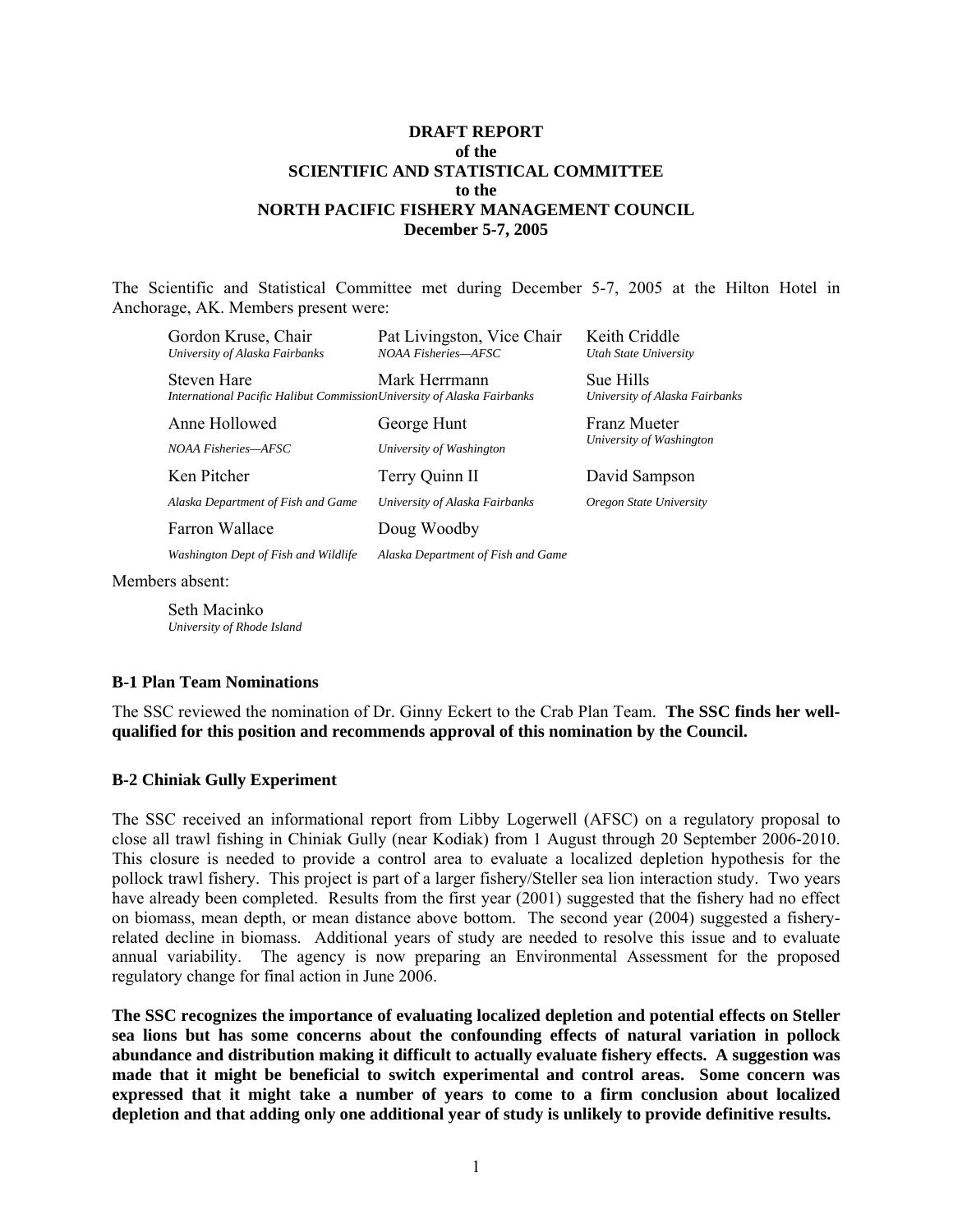## **DRAFT REPORT of the SCIENTIFIC AND STATISTICAL COMMITTEE to the NORTH PACIFIC FISHERY MANAGEMENT COUNCIL December 5-7, 2005**

The Scientific and Statistical Committee met during December 5-7, 2005 at the Hilton Hotel in Anchorage, AK. Members present were:

| Gordon Kruse, Chair<br>University of Alaska Fairbanks                                                   | Pat Livingston, Vice Chair<br>NOAA Fisheries-AFSC | Keith Criddle<br>Utah State University      |
|---------------------------------------------------------------------------------------------------------|---------------------------------------------------|---------------------------------------------|
| Mark Herrmann<br>Steven Hare<br>International Pacific Halibut Commission University of Alaska Fairbanks |                                                   | Sue Hills<br>University of Alaska Fairbanks |
| Anne Hollowed                                                                                           | George Hunt                                       | <b>Franz Mueter</b>                         |
| NOAA Fisheries-AFSC                                                                                     | University of Washington                          | University of Washington                    |
| Ken Pitcher                                                                                             | Terry Quinn II                                    | David Sampson                               |
| Alaska Department of Fish and Game                                                                      | University of Alaska Fairbanks                    | Oregon State University                     |
| Farron Wallace                                                                                          | Doug Woodby                                       |                                             |
| Washington Dept of Fish and Wildlife                                                                    | Alaska Department of Fish and Game                |                                             |

Members absent:

Seth Macinko *University of Rhode Island*

#### **B-1 Plan Team Nominations**

The SSC reviewed the nomination of Dr. Ginny Eckert to the Crab Plan Team. **The SSC finds her wellqualified for this position and recommends approval of this nomination by the Council.** 

#### **B-2 Chiniak Gully Experiment**

The SSC received an informational report from Libby Logerwell (AFSC) on a regulatory proposal to close all trawl fishing in Chiniak Gully (near Kodiak) from 1 August through 20 September 2006-2010. This closure is needed to provide a control area to evaluate a localized depletion hypothesis for the pollock trawl fishery. This project is part of a larger fishery/Steller sea lion interaction study. Two years have already been completed. Results from the first year (2001) suggested that the fishery had no effect on biomass, mean depth, or mean distance above bottom. The second year (2004) suggested a fisheryrelated decline in biomass. Additional years of study are needed to resolve this issue and to evaluate annual variability. The agency is now preparing an Environmental Assessment for the proposed regulatory change for final action in June 2006.

**The SSC recognizes the importance of evaluating localized depletion and potential effects on Steller sea lions but has some concerns about the confounding effects of natural variation in pollock abundance and distribution making it difficult to actually evaluate fishery effects. A suggestion was made that it might be beneficial to switch experimental and control areas. Some concern was expressed that it might take a number of years to come to a firm conclusion about localized depletion and that adding only one additional year of study is unlikely to provide definitive results.**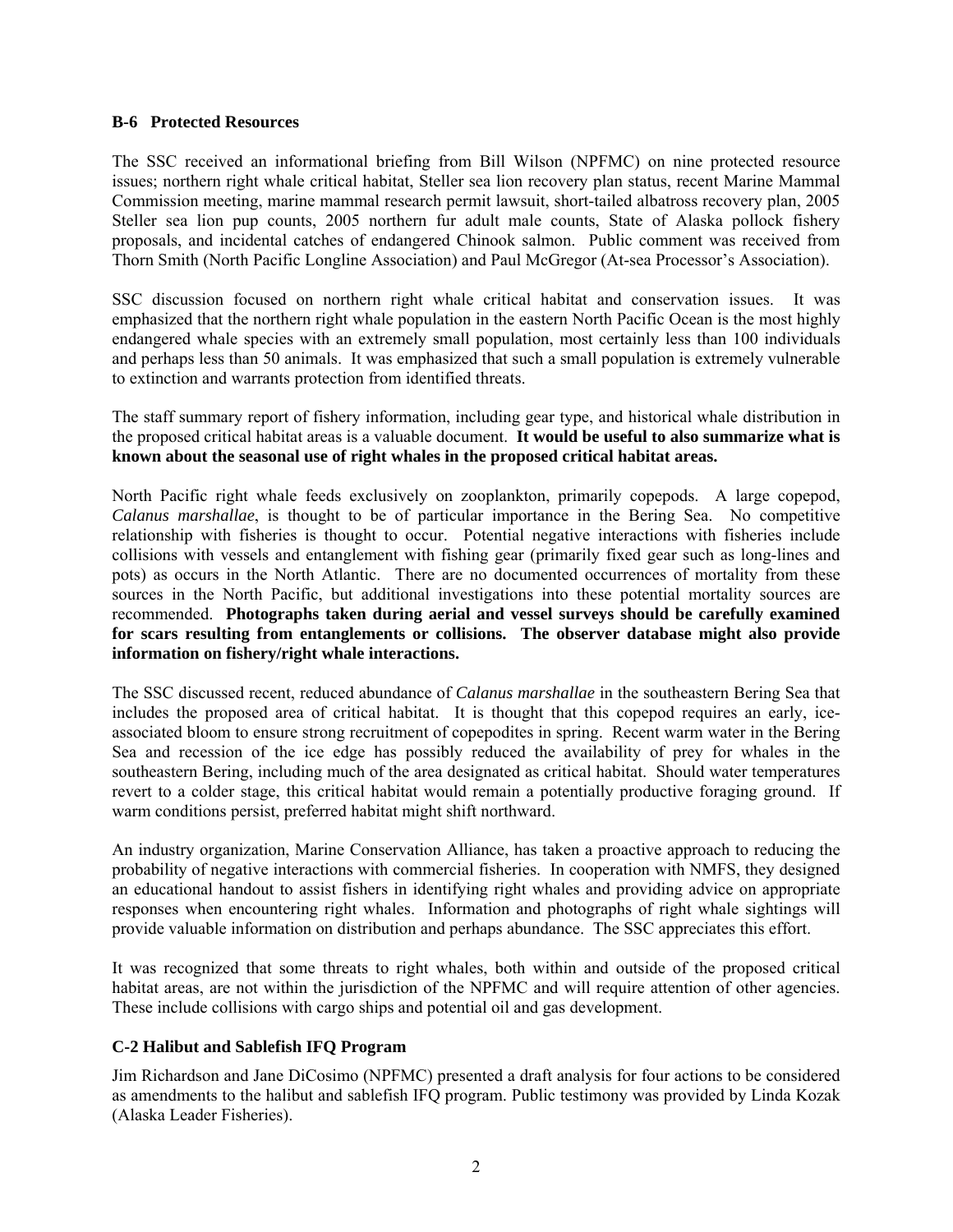#### **B-6 Protected Resources**

The SSC received an informational briefing from Bill Wilson (NPFMC) on nine protected resource issues; northern right whale critical habitat, Steller sea lion recovery plan status, recent Marine Mammal Commission meeting, marine mammal research permit lawsuit, short-tailed albatross recovery plan, 2005 Steller sea lion pup counts, 2005 northern fur adult male counts, State of Alaska pollock fishery proposals, and incidental catches of endangered Chinook salmon. Public comment was received from Thorn Smith (North Pacific Longline Association) and Paul McGregor (At-sea Processor's Association).

SSC discussion focused on northern right whale critical habitat and conservation issues. It was emphasized that the northern right whale population in the eastern North Pacific Ocean is the most highly endangered whale species with an extremely small population, most certainly less than 100 individuals and perhaps less than 50 animals. It was emphasized that such a small population is extremely vulnerable to extinction and warrants protection from identified threats.

The staff summary report of fishery information, including gear type, and historical whale distribution in the proposed critical habitat areas is a valuable document. **It would be useful to also summarize what is known about the seasonal use of right whales in the proposed critical habitat areas.** 

North Pacific right whale feeds exclusively on zooplankton, primarily copepods. A large copepod, *Calanus marshallae*, is thought to be of particular importance in the Bering Sea. No competitive relationship with fisheries is thought to occur. Potential negative interactions with fisheries include collisions with vessels and entanglement with fishing gear (primarily fixed gear such as long-lines and pots) as occurs in the North Atlantic. There are no documented occurrences of mortality from these sources in the North Pacific, but additional investigations into these potential mortality sources are recommended. **Photographs taken during aerial and vessel surveys should be carefully examined for scars resulting from entanglements or collisions. The observer database might also provide information on fishery/right whale interactions.**

The SSC discussed recent, reduced abundance of *Calanus marshallae* in the southeastern Bering Sea that includes the proposed area of critical habitat. It is thought that this copepod requires an early, iceassociated bloom to ensure strong recruitment of copepodites in spring. Recent warm water in the Bering Sea and recession of the ice edge has possibly reduced the availability of prey for whales in the southeastern Bering, including much of the area designated as critical habitat. Should water temperatures revert to a colder stage, this critical habitat would remain a potentially productive foraging ground. If warm conditions persist, preferred habitat might shift northward.

An industry organization, Marine Conservation Alliance, has taken a proactive approach to reducing the probability of negative interactions with commercial fisheries. In cooperation with NMFS, they designed an educational handout to assist fishers in identifying right whales and providing advice on appropriate responses when encountering right whales. Information and photographs of right whale sightings will provide valuable information on distribution and perhaps abundance. The SSC appreciates this effort.

It was recognized that some threats to right whales, both within and outside of the proposed critical habitat areas, are not within the jurisdiction of the NPFMC and will require attention of other agencies. These include collisions with cargo ships and potential oil and gas development.

## **C-2 Halibut and Sablefish IFQ Program**

Jim Richardson and Jane DiCosimo (NPFMC) presented a draft analysis for four actions to be considered as amendments to the halibut and sablefish IFQ program. Public testimony was provided by Linda Kozak (Alaska Leader Fisheries).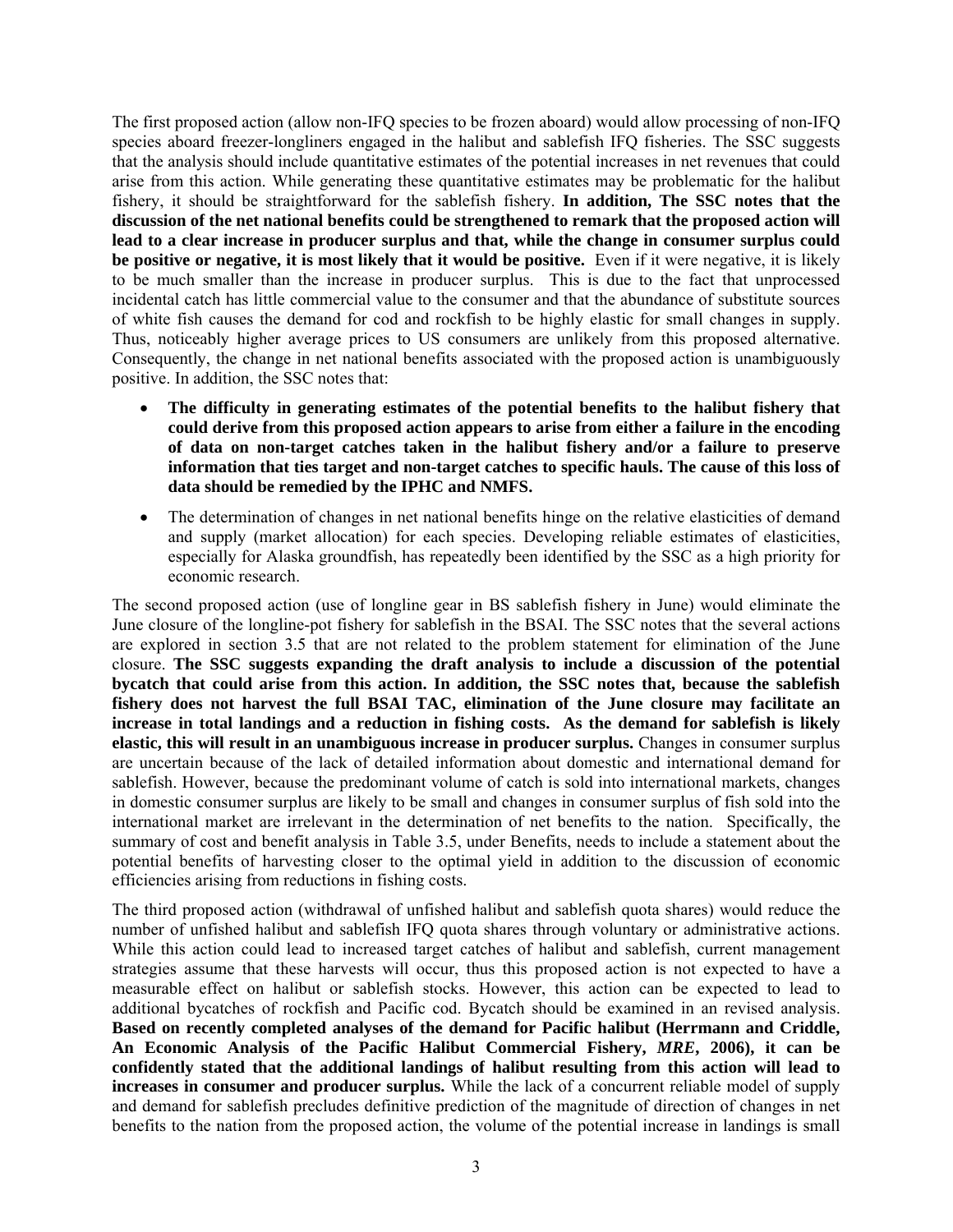The first proposed action (allow non-IFQ species to be frozen aboard) would allow processing of non-IFQ species aboard freezer-longliners engaged in the halibut and sablefish IFQ fisheries. The SSC suggests that the analysis should include quantitative estimates of the potential increases in net revenues that could arise from this action. While generating these quantitative estimates may be problematic for the halibut fishery, it should be straightforward for the sablefish fishery. **In addition, The SSC notes that the discussion of the net national benefits could be strengthened to remark that the proposed action will lead to a clear increase in producer surplus and that, while the change in consumer surplus could be positive or negative, it is most likely that it would be positive.** Even if it were negative, it is likely to be much smaller than the increase in producer surplus. This is due to the fact that unprocessed incidental catch has little commercial value to the consumer and that the abundance of substitute sources of white fish causes the demand for cod and rockfish to be highly elastic for small changes in supply. Thus, noticeably higher average prices to US consumers are unlikely from this proposed alternative. Consequently, the change in net national benefits associated with the proposed action is unambiguously positive. In addition, the SSC notes that:

- **The difficulty in generating estimates of the potential benefits to the halibut fishery that could derive from this proposed action appears to arise from either a failure in the encoding of data on non-target catches taken in the halibut fishery and/or a failure to preserve information that ties target and non-target catches to specific hauls. The cause of this loss of data should be remedied by the IPHC and NMFS.**
- The determination of changes in net national benefits hinge on the relative elasticities of demand and supply (market allocation) for each species. Developing reliable estimates of elasticities, especially for Alaska groundfish, has repeatedly been identified by the SSC as a high priority for economic research.

The second proposed action (use of longline gear in BS sablefish fishery in June) would eliminate the June closure of the longline-pot fishery for sablefish in the BSAI. The SSC notes that the several actions are explored in section 3.5 that are not related to the problem statement for elimination of the June closure. **The SSC suggests expanding the draft analysis to include a discussion of the potential bycatch that could arise from this action. In addition, the SSC notes that, because the sablefish fishery does not harvest the full BSAI TAC, elimination of the June closure may facilitate an increase in total landings and a reduction in fishing costs. As the demand for sablefish is likely elastic, this will result in an unambiguous increase in producer surplus.** Changes in consumer surplus are uncertain because of the lack of detailed information about domestic and international demand for sablefish. However, because the predominant volume of catch is sold into international markets, changes in domestic consumer surplus are likely to be small and changes in consumer surplus of fish sold into the international market are irrelevant in the determination of net benefits to the nation. Specifically, the summary of cost and benefit analysis in Table 3.5, under Benefits, needs to include a statement about the potential benefits of harvesting closer to the optimal yield in addition to the discussion of economic efficiencies arising from reductions in fishing costs.

The third proposed action (withdrawal of unfished halibut and sablefish quota shares) would reduce the number of unfished halibut and sablefish IFQ quota shares through voluntary or administrative actions. While this action could lead to increased target catches of halibut and sablefish, current management strategies assume that these harvests will occur, thus this proposed action is not expected to have a measurable effect on halibut or sablefish stocks. However, this action can be expected to lead to additional bycatches of rockfish and Pacific cod. Bycatch should be examined in an revised analysis. **Based on recently completed analyses of the demand for Pacific halibut (Herrmann and Criddle, An Economic Analysis of the Pacific Halibut Commercial Fishery,** *MRE***, 2006), it can be confidently stated that the additional landings of halibut resulting from this action will lead to increases in consumer and producer surplus.** While the lack of a concurrent reliable model of supply and demand for sablefish precludes definitive prediction of the magnitude of direction of changes in net benefits to the nation from the proposed action, the volume of the potential increase in landings is small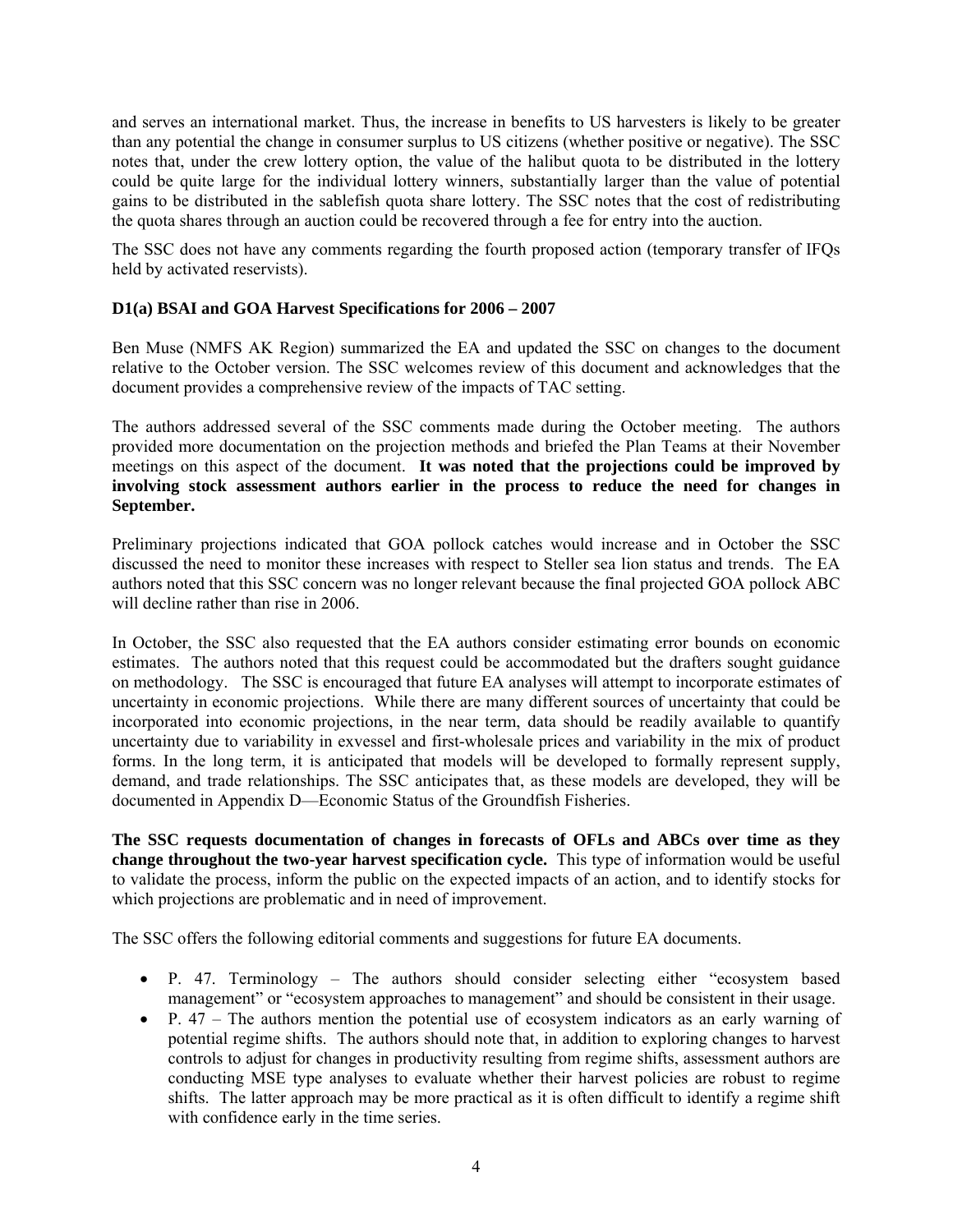and serves an international market. Thus, the increase in benefits to US harvesters is likely to be greater than any potential the change in consumer surplus to US citizens (whether positive or negative). The SSC notes that, under the crew lottery option, the value of the halibut quota to be distributed in the lottery could be quite large for the individual lottery winners, substantially larger than the value of potential gains to be distributed in the sablefish quota share lottery. The SSC notes that the cost of redistributing the quota shares through an auction could be recovered through a fee for entry into the auction.

The SSC does not have any comments regarding the fourth proposed action (temporary transfer of IFQs held by activated reservists).

# **D1(a) BSAI and GOA Harvest Specifications for 2006 – 2007**

Ben Muse (NMFS AK Region) summarized the EA and updated the SSC on changes to the document relative to the October version. The SSC welcomes review of this document and acknowledges that the document provides a comprehensive review of the impacts of TAC setting.

The authors addressed several of the SSC comments made during the October meeting. The authors provided more documentation on the projection methods and briefed the Plan Teams at their November meetings on this aspect of the document. **It was noted that the projections could be improved by involving stock assessment authors earlier in the process to reduce the need for changes in September.**

Preliminary projections indicated that GOA pollock catches would increase and in October the SSC discussed the need to monitor these increases with respect to Steller sea lion status and trends. The EA authors noted that this SSC concern was no longer relevant because the final projected GOA pollock ABC will decline rather than rise in 2006.

In October, the SSC also requested that the EA authors consider estimating error bounds on economic estimates. The authors noted that this request could be accommodated but the drafters sought guidance on methodology. The SSC is encouraged that future EA analyses will attempt to incorporate estimates of uncertainty in economic projections. While there are many different sources of uncertainty that could be incorporated into economic projections, in the near term, data should be readily available to quantify uncertainty due to variability in exvessel and first-wholesale prices and variability in the mix of product forms. In the long term, it is anticipated that models will be developed to formally represent supply, demand, and trade relationships. The SSC anticipates that, as these models are developed, they will be documented in Appendix D—Economic Status of the Groundfish Fisheries.

**The SSC requests documentation of changes in forecasts of OFLs and ABCs over time as they change throughout the two-year harvest specification cycle.** This type of information would be useful to validate the process, inform the public on the expected impacts of an action, and to identify stocks for which projections are problematic and in need of improvement.

The SSC offers the following editorial comments and suggestions for future EA documents.

- P. 47. Terminology The authors should consider selecting either "ecosystem based management" or "ecosystem approaches to management" and should be consistent in their usage.
- P. 47 The authors mention the potential use of ecosystem indicators as an early warning of potential regime shifts. The authors should note that, in addition to exploring changes to harvest controls to adjust for changes in productivity resulting from regime shifts, assessment authors are conducting MSE type analyses to evaluate whether their harvest policies are robust to regime shifts. The latter approach may be more practical as it is often difficult to identify a regime shift with confidence early in the time series.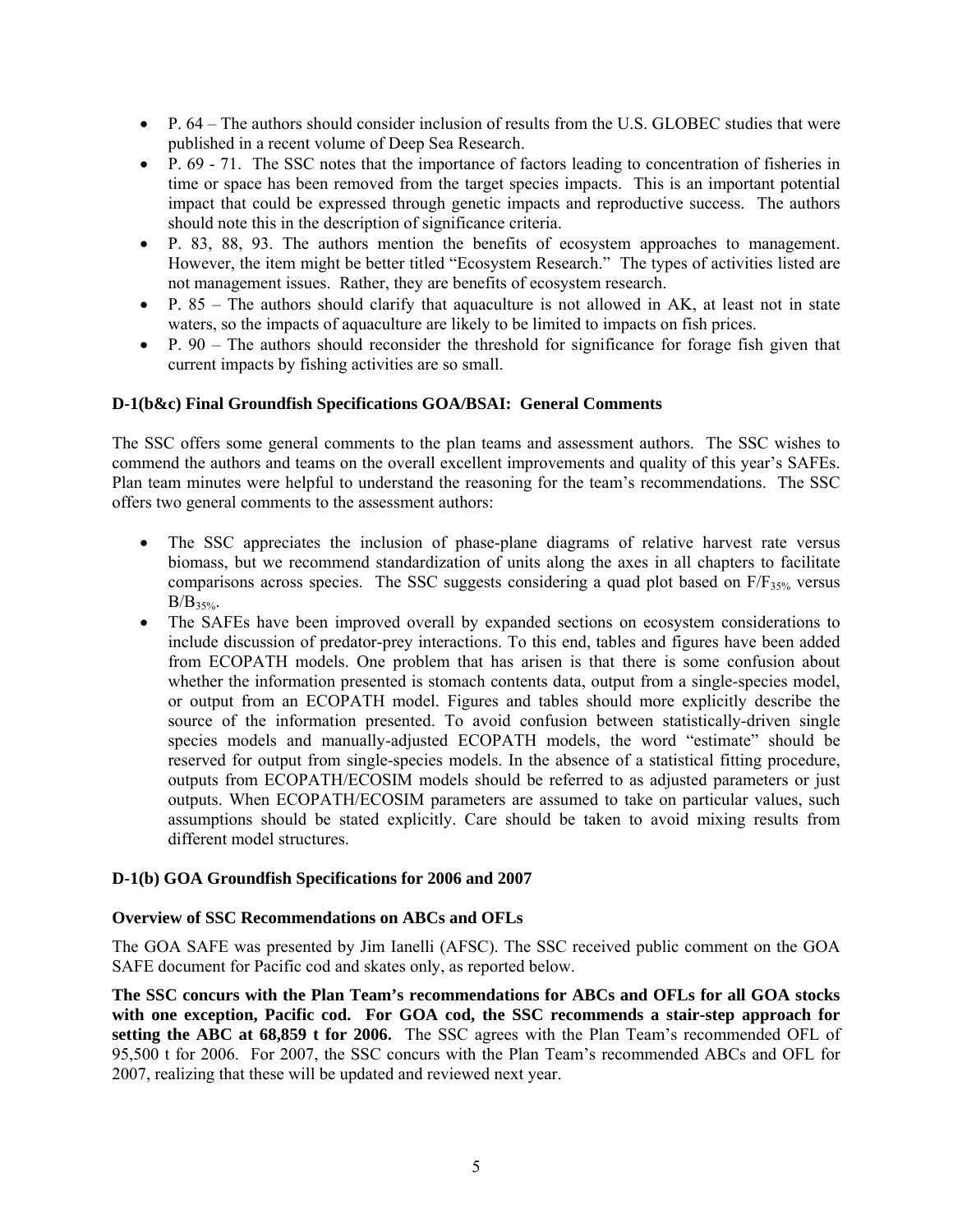- P. 64 The authors should consider inclusion of results from the U.S. GLOBEC studies that were published in a recent volume of Deep Sea Research.
- P. 69 71. The SSC notes that the importance of factors leading to concentration of fisheries in time or space has been removed from the target species impacts. This is an important potential impact that could be expressed through genetic impacts and reproductive success. The authors should note this in the description of significance criteria.
- P. 83, 88, 93. The authors mention the benefits of ecosystem approaches to management. However, the item might be better titled "Ecosystem Research." The types of activities listed are not management issues. Rather, they are benefits of ecosystem research.
- P. 85 The authors should clarify that aquaculture is not allowed in AK, at least not in state waters, so the impacts of aquaculture are likely to be limited to impacts on fish prices.
- P.  $90 -$ The authors should reconsider the threshold for significance for forage fish given that current impacts by fishing activities are so small.

## **D-1(b&c) Final Groundfish Specifications GOA/BSAI: General Comments**

The SSC offers some general comments to the plan teams and assessment authors. The SSC wishes to commend the authors and teams on the overall excellent improvements and quality of this year's SAFEs. Plan team minutes were helpful to understand the reasoning for the team's recommendations. The SSC offers two general comments to the assessment authors:

- The SSC appreciates the inclusion of phase-plane diagrams of relative harvest rate versus biomass, but we recommend standardization of units along the axes in all chapters to facilitate comparisons across species. The SSC suggests considering a quad plot based on  $F/F_{35\%}$  versus  $B/B_{35\%}$ .
- The SAFEs have been improved overall by expanded sections on ecosystem considerations to include discussion of predator-prey interactions. To this end, tables and figures have been added from ECOPATH models. One problem that has arisen is that there is some confusion about whether the information presented is stomach contents data, output from a single-species model, or output from an ECOPATH model. Figures and tables should more explicitly describe the source of the information presented. To avoid confusion between statistically-driven single species models and manually-adjusted ECOPATH models, the word "estimate" should be reserved for output from single-species models. In the absence of a statistical fitting procedure, outputs from ECOPATH/ECOSIM models should be referred to as adjusted parameters or just outputs. When ECOPATH/ECOSIM parameters are assumed to take on particular values, such assumptions should be stated explicitly. Care should be taken to avoid mixing results from different model structures.

## **D-1(b) GOA Groundfish Specifications for 2006 and 2007**

#### **Overview of SSC Recommendations on ABCs and OFLs**

The GOA SAFE was presented by Jim Ianelli (AFSC). The SSC received public comment on the GOA SAFE document for Pacific cod and skates only, as reported below.

**The SSC concurs with the Plan Team's recommendations for ABCs and OFLs for all GOA stocks with one exception, Pacific cod. For GOA cod, the SSC recommends a stair-step approach for setting the ABC at 68,859 t for 2006.** The SSC agrees with the Plan Team's recommended OFL of 95,500 t for 2006. For 2007, the SSC concurs with the Plan Team's recommended ABCs and OFL for 2007, realizing that these will be updated and reviewed next year.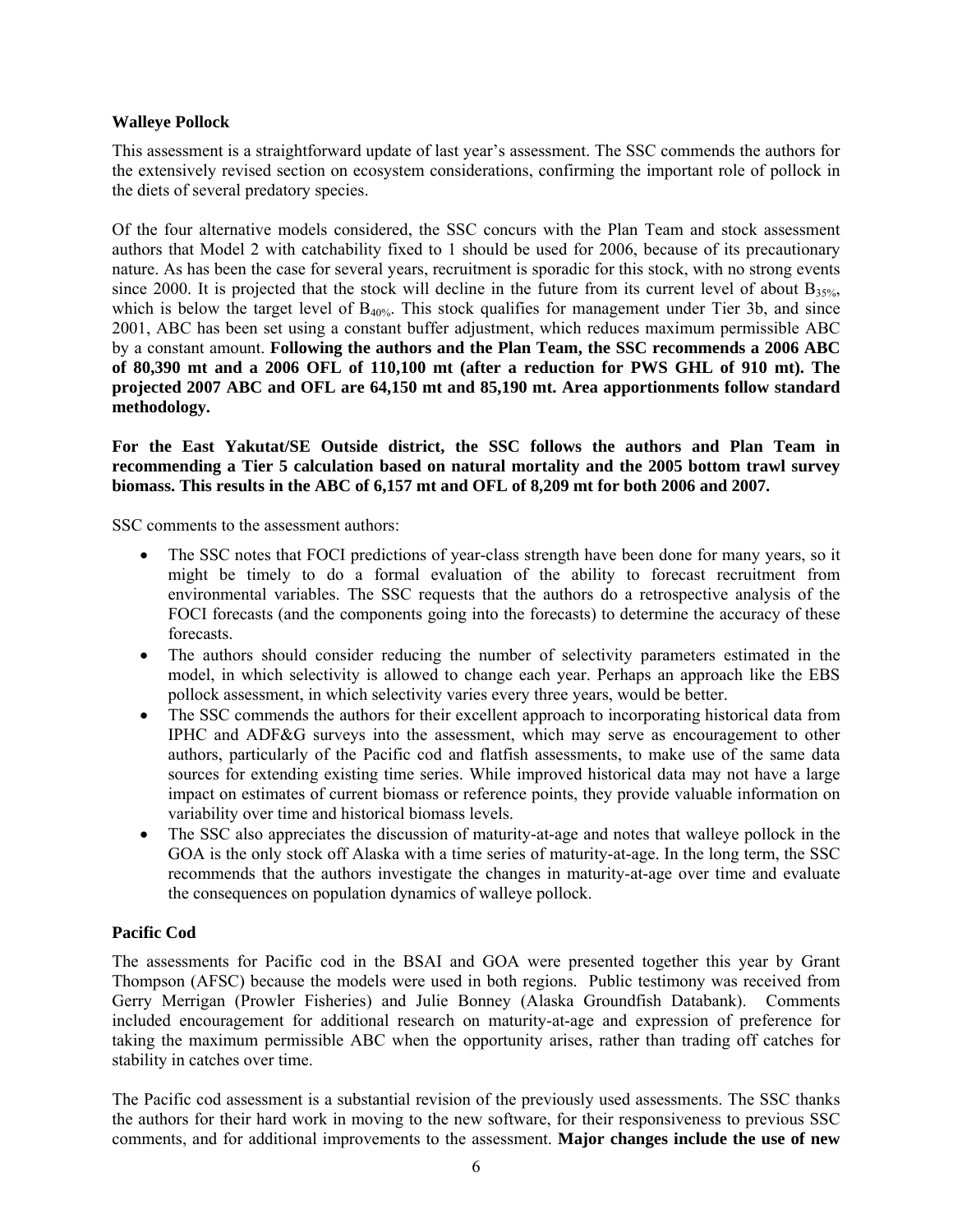## **Walleye Pollock**

This assessment is a straightforward update of last year's assessment. The SSC commends the authors for the extensively revised section on ecosystem considerations, confirming the important role of pollock in the diets of several predatory species.

Of the four alternative models considered, the SSC concurs with the Plan Team and stock assessment authors that Model 2 with catchability fixed to 1 should be used for 2006, because of its precautionary nature. As has been the case for several years, recruitment is sporadic for this stock, with no strong events since 2000. It is projected that the stock will decline in the future from its current level of about  $B_{35\%}$ , which is below the target level of  $B_{40\%}$ . This stock qualifies for management under Tier 3b, and since 2001, ABC has been set using a constant buffer adjustment, which reduces maximum permissible ABC by a constant amount. **Following the authors and the Plan Team, the SSC recommends a 2006 ABC of 80,390 mt and a 2006 OFL of 110,100 mt (after a reduction for PWS GHL of 910 mt). The projected 2007 ABC and OFL are 64,150 mt and 85,190 mt. Area apportionments follow standard methodology.**

**For the East Yakutat/SE Outside district, the SSC follows the authors and Plan Team in recommending a Tier 5 calculation based on natural mortality and the 2005 bottom trawl survey biomass. This results in the ABC of 6,157 mt and OFL of 8,209 mt for both 2006 and 2007.** 

SSC comments to the assessment authors:

- The SSC notes that FOCI predictions of year-class strength have been done for many years, so it might be timely to do a formal evaluation of the ability to forecast recruitment from environmental variables. The SSC requests that the authors do a retrospective analysis of the FOCI forecasts (and the components going into the forecasts) to determine the accuracy of these forecasts.
- The authors should consider reducing the number of selectivity parameters estimated in the model, in which selectivity is allowed to change each year. Perhaps an approach like the EBS pollock assessment, in which selectivity varies every three years, would be better.
- The SSC commends the authors for their excellent approach to incorporating historical data from IPHC and ADF&G surveys into the assessment, which may serve as encouragement to other authors, particularly of the Pacific cod and flatfish assessments, to make use of the same data sources for extending existing time series. While improved historical data may not have a large impact on estimates of current biomass or reference points, they provide valuable information on variability over time and historical biomass levels.
- The SSC also appreciates the discussion of maturity-at-age and notes that walleye pollock in the GOA is the only stock off Alaska with a time series of maturity-at-age. In the long term, the SSC recommends that the authors investigate the changes in maturity-at-age over time and evaluate the consequences on population dynamics of walleye pollock.

## **Pacific Cod**

The assessments for Pacific cod in the BSAI and GOA were presented together this year by Grant Thompson (AFSC) because the models were used in both regions. Public testimony was received from Gerry Merrigan (Prowler Fisheries) and Julie Bonney (Alaska Groundfish Databank). Comments included encouragement for additional research on maturity-at-age and expression of preference for taking the maximum permissible ABC when the opportunity arises, rather than trading off catches for stability in catches over time.

The Pacific cod assessment is a substantial revision of the previously used assessments. The SSC thanks the authors for their hard work in moving to the new software, for their responsiveness to previous SSC comments, and for additional improvements to the assessment. **Major changes include the use of new**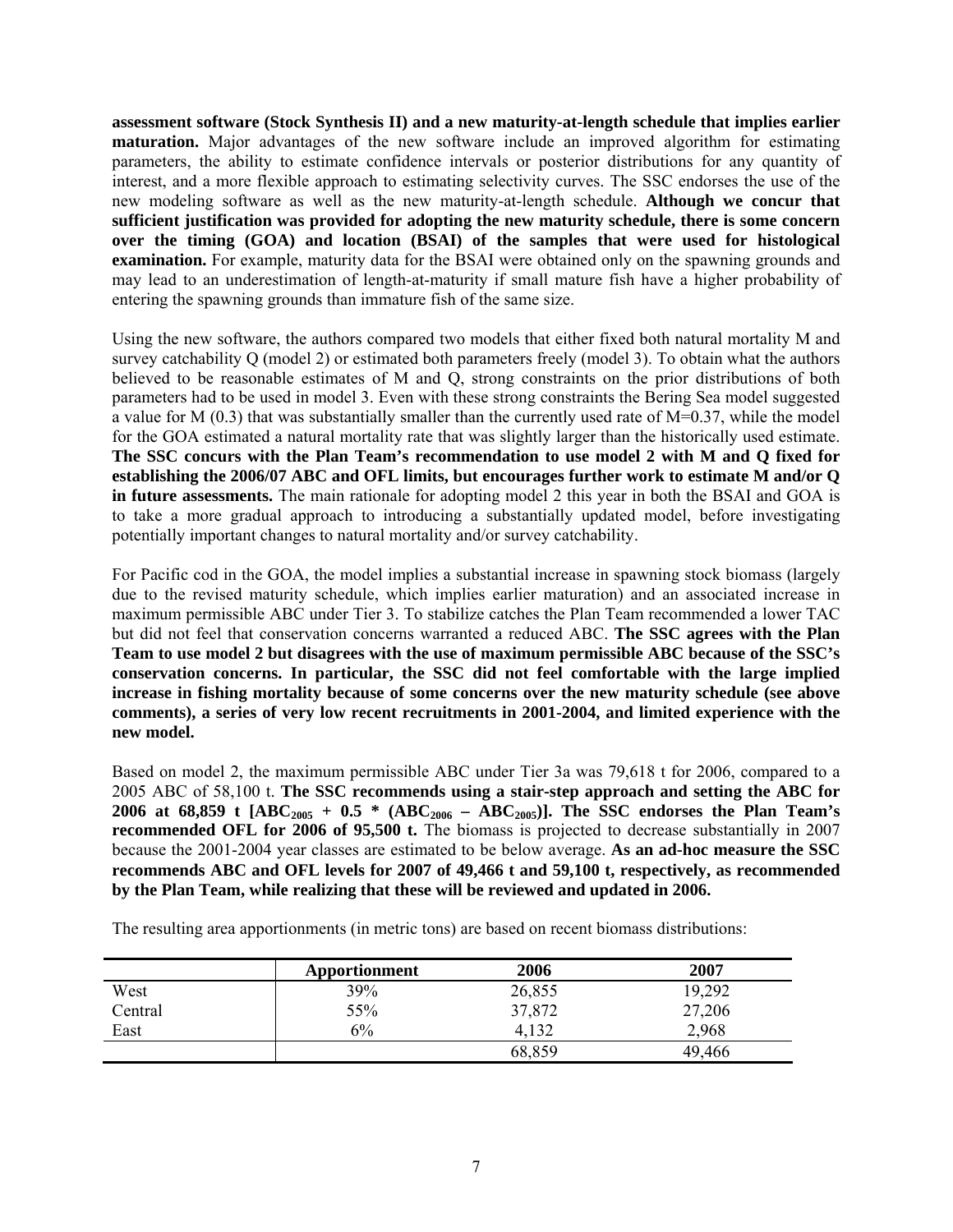**assessment software (Stock Synthesis II) and a new maturity-at-length schedule that implies earlier maturation.** Major advantages of the new software include an improved algorithm for estimating parameters, the ability to estimate confidence intervals or posterior distributions for any quantity of interest, and a more flexible approach to estimating selectivity curves. The SSC endorses the use of the new modeling software as well as the new maturity-at-length schedule. **Although we concur that sufficient justification was provided for adopting the new maturity schedule, there is some concern over the timing (GOA) and location (BSAI) of the samples that were used for histological examination.** For example, maturity data for the BSAI were obtained only on the spawning grounds and may lead to an underestimation of length-at-maturity if small mature fish have a higher probability of entering the spawning grounds than immature fish of the same size.

Using the new software, the authors compared two models that either fixed both natural mortality M and survey catchability Q (model 2) or estimated both parameters freely (model 3). To obtain what the authors believed to be reasonable estimates of M and Q, strong constraints on the prior distributions of both parameters had to be used in model 3. Even with these strong constraints the Bering Sea model suggested a value for M (0.3) that was substantially smaller than the currently used rate of M=0.37, while the model for the GOA estimated a natural mortality rate that was slightly larger than the historically used estimate. **The SSC concurs with the Plan Team's recommendation to use model 2 with M and Q fixed for establishing the 2006/07 ABC and OFL limits, but encourages further work to estimate M and/or Q in future assessments.** The main rationale for adopting model 2 this year in both the BSAI and GOA is to take a more gradual approach to introducing a substantially updated model, before investigating potentially important changes to natural mortality and/or survey catchability.

For Pacific cod in the GOA, the model implies a substantial increase in spawning stock biomass (largely due to the revised maturity schedule, which implies earlier maturation) and an associated increase in maximum permissible ABC under Tier 3. To stabilize catches the Plan Team recommended a lower TAC but did not feel that conservation concerns warranted a reduced ABC. **The SSC agrees with the Plan Team to use model 2 but disagrees with the use of maximum permissible ABC because of the SSC's conservation concerns. In particular, the SSC did not feel comfortable with the large implied increase in fishing mortality because of some concerns over the new maturity schedule (see above comments), a series of very low recent recruitments in 2001-2004, and limited experience with the new model.**

Based on model 2, the maximum permissible ABC under Tier 3a was 79,618 t for 2006, compared to a 2005 ABC of 58,100 t. **The SSC recommends using a stair-step approach and setting the ABC for**  2006 at 68,859 t  $[ABC_{2005} + 0.5 * (ABC_{2006} - ABC_{2005})]$ . The SSC endorses the Plan Team's **recommended OFL for 2006 of 95,500 t.** The biomass is projected to decrease substantially in 2007 because the 2001-2004 year classes are estimated to be below average. **As an ad-hoc measure the SSC recommends ABC and OFL levels for 2007 of 49,466 t and 59,100 t, respectively, as recommended by the Plan Team, while realizing that these will be reviewed and updated in 2006.**

The resulting area apportionments (in metric tons) are based on recent biomass distributions:

|         | Apportionment | 2006   | 2007   |
|---------|---------------|--------|--------|
| West    | 39%           | 26,855 | 19,292 |
| Central | 55%           | 37,872 | 27,206 |
| East    | 6%            | 4,132  | 2,968  |
|         |               | 68,859 | 49,466 |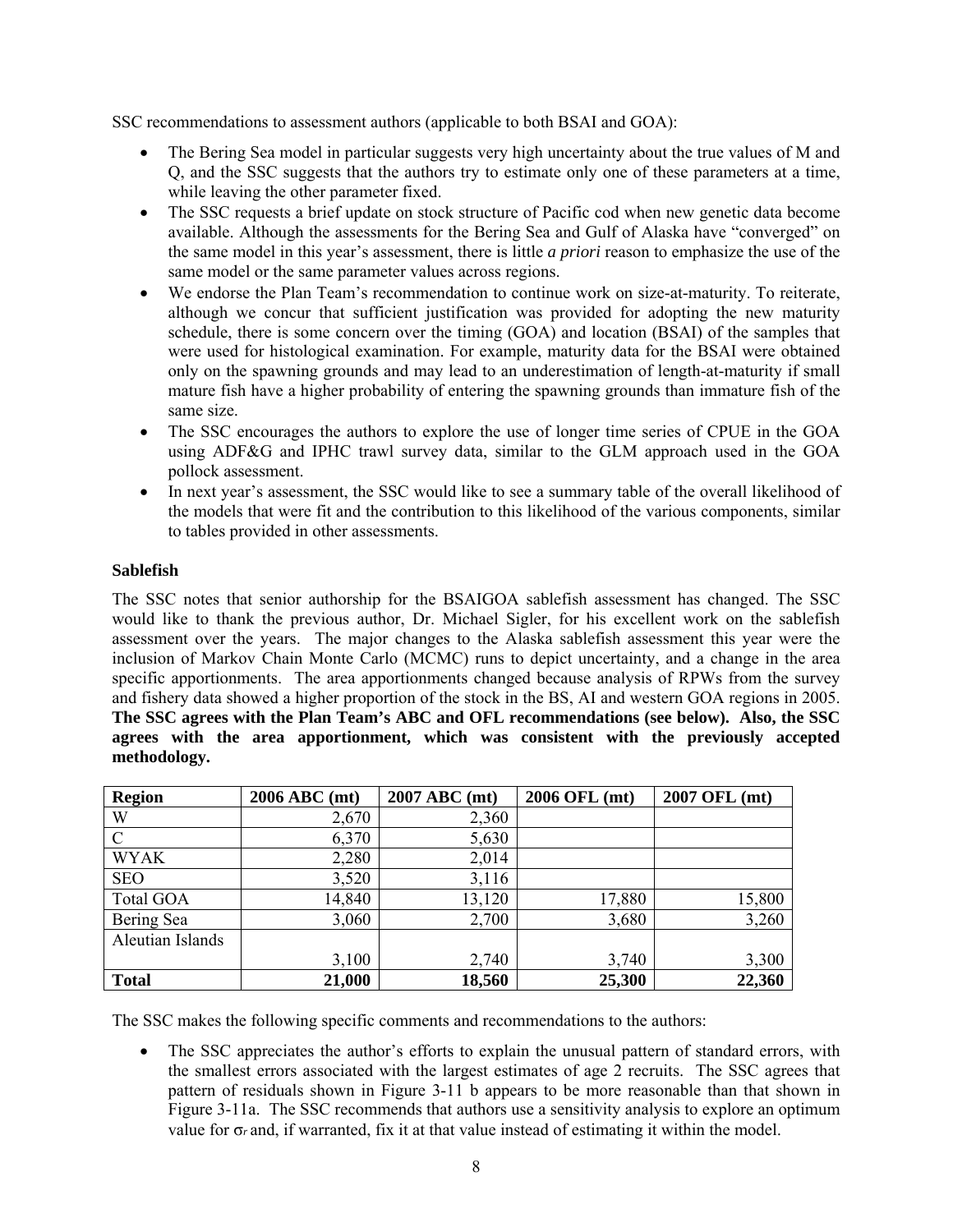SSC recommendations to assessment authors (applicable to both BSAI and GOA):

- The Bering Sea model in particular suggests very high uncertainty about the true values of M and Q, and the SSC suggests that the authors try to estimate only one of these parameters at a time, while leaving the other parameter fixed.
- The SSC requests a brief update on stock structure of Pacific cod when new genetic data become available. Although the assessments for the Bering Sea and Gulf of Alaska have "converged" on the same model in this year's assessment, there is little *a priori* reason to emphasize the use of the same model or the same parameter values across regions.
- We endorse the Plan Team's recommendation to continue work on size-at-maturity. To reiterate, although we concur that sufficient justification was provided for adopting the new maturity schedule, there is some concern over the timing (GOA) and location (BSAI) of the samples that were used for histological examination. For example, maturity data for the BSAI were obtained only on the spawning grounds and may lead to an underestimation of length-at-maturity if small mature fish have a higher probability of entering the spawning grounds than immature fish of the same size.
- The SSC encourages the authors to explore the use of longer time series of CPUE in the GOA using ADF&G and IPHC trawl survey data, similar to the GLM approach used in the GOA pollock assessment.
- In next year's assessment, the SSC would like to see a summary table of the overall likelihood of the models that were fit and the contribution to this likelihood of the various components, similar to tables provided in other assessments.

# **Sablefish**

The SSC notes that senior authorship for the BSAIGOA sablefish assessment has changed. The SSC would like to thank the previous author, Dr. Michael Sigler, for his excellent work on the sablefish assessment over the years. The major changes to the Alaska sablefish assessment this year were the inclusion of Markov Chain Monte Carlo (MCMC) runs to depict uncertainty, and a change in the area specific apportionments. The area apportionments changed because analysis of RPWs from the survey and fishery data showed a higher proportion of the stock in the BS, AI and western GOA regions in 2005. **The SSC agrees with the Plan Team's ABC and OFL recommendations (see below). Also, the SSC agrees with the area apportionment, which was consistent with the previously accepted methodology.** 

| <b>Region</b>    | 2006 ABC (mt) | 2007 ABC (mt) | 2006 OFL (mt) | 2007 OFL (mt) |
|------------------|---------------|---------------|---------------|---------------|
| W                | 2,670         | 2,360         |               |               |
| $\mathcal{C}$    | 6,370         | 5,630         |               |               |
| <b>WYAK</b>      | 2,280         | 2,014         |               |               |
| <b>SEO</b>       | 3,520         | 3,116         |               |               |
| <b>Total GOA</b> | 14,840        | 13,120        | 17,880        | 15,800        |
| Bering Sea       | 3,060         | 2,700         | 3,680         | 3,260         |
| Aleutian Islands |               |               |               |               |
|                  | 3,100         | 2,740         | 3,740         | 3,300         |
| <b>Total</b>     | 21,000        | 18,560        | 25,300        | 22,360        |

The SSC makes the following specific comments and recommendations to the authors:

The SSC appreciates the author's efforts to explain the unusual pattern of standard errors, with the smallest errors associated with the largest estimates of age 2 recruits. The SSC agrees that pattern of residuals shown in Figure 3-11 b appears to be more reasonable than that shown in Figure 3-11a. The SSC recommends that authors use a sensitivity analysis to explore an optimum value for σ*r* and, if warranted, fix it at that value instead of estimating it within the model.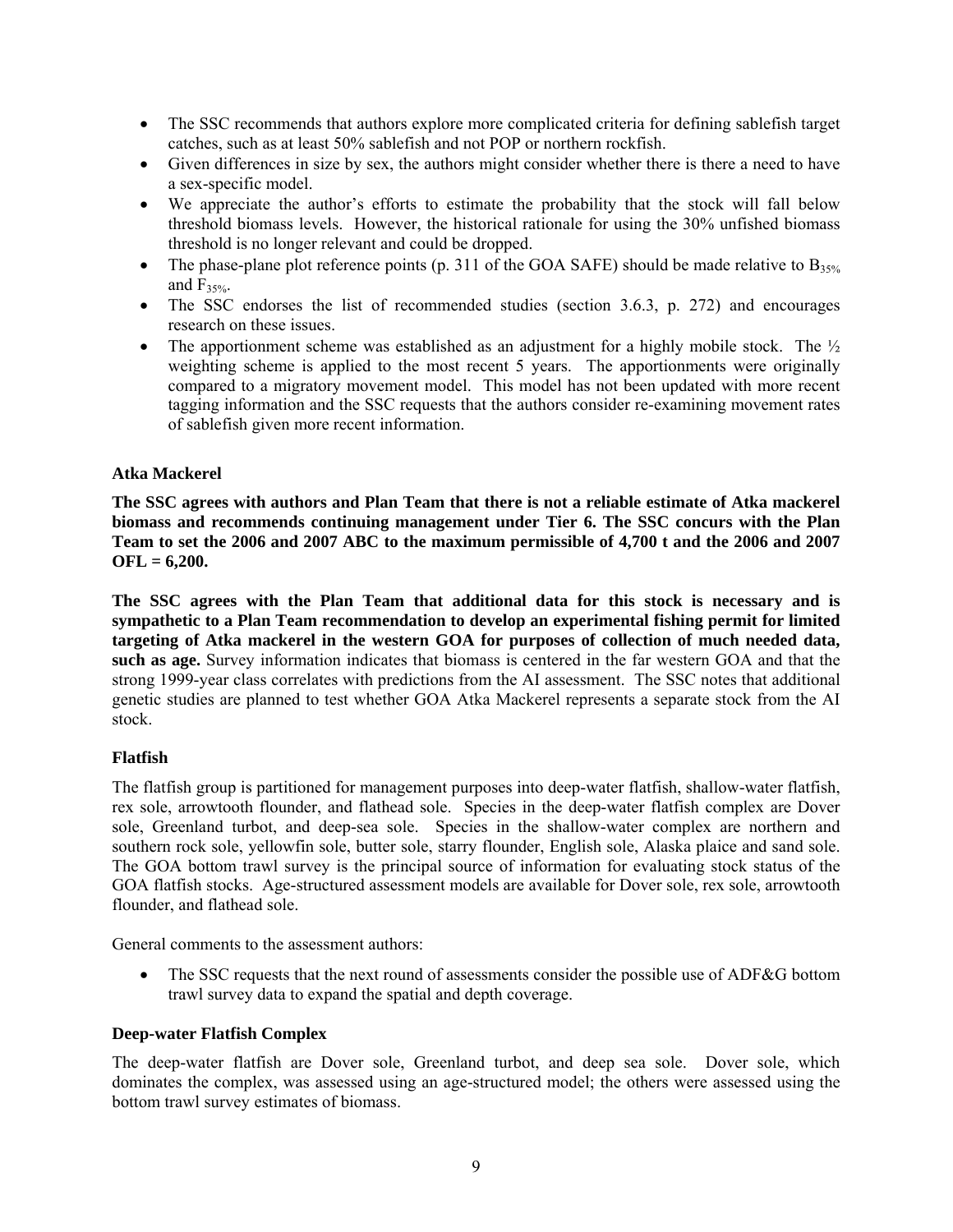- The SSC recommends that authors explore more complicated criteria for defining sablefish target catches, such as at least 50% sablefish and not POP or northern rockfish.
- Given differences in size by sex, the authors might consider whether there is there a need to have a sex-specific model.
- We appreciate the author's efforts to estimate the probability that the stock will fall below threshold biomass levels. However, the historical rationale for using the 30% unfished biomass threshold is no longer relevant and could be dropped.
- The phase-plane plot reference points (p. 311 of the GOA SAFE) should be made relative to  $B_{35\%}$ and  $F_{35\%}$ .
- The SSC endorses the list of recommended studies (section 3.6.3, p. 272) and encourages research on these issues.
- The apportionment scheme was established as an adjustment for a highly mobile stock. The  $\frac{1}{2}$ weighting scheme is applied to the most recent 5 years. The apportionments were originally compared to a migratory movement model. This model has not been updated with more recent tagging information and the SSC requests that the authors consider re-examining movement rates of sablefish given more recent information.

## **Atka Mackerel**

**The SSC agrees with authors and Plan Team that there is not a reliable estimate of Atka mackerel biomass and recommends continuing management under Tier 6. The SSC concurs with the Plan Team to set the 2006 and 2007 ABC to the maximum permissible of 4,700 t and the 2006 and 2007 OFL = 6,200.** 

**The SSC agrees with the Plan Team that additional data for this stock is necessary and is sympathetic to a Plan Team recommendation to develop an experimental fishing permit for limited targeting of Atka mackerel in the western GOA for purposes of collection of much needed data, such as age.** Survey information indicates that biomass is centered in the far western GOA and that the strong 1999-year class correlates with predictions from the AI assessment. The SSC notes that additional genetic studies are planned to test whether GOA Atka Mackerel represents a separate stock from the AI stock.

## **Flatfish**

The flatfish group is partitioned for management purposes into deep-water flatfish, shallow-water flatfish, rex sole, arrowtooth flounder, and flathead sole. Species in the deep-water flatfish complex are Dover sole, Greenland turbot, and deep-sea sole. Species in the shallow-water complex are northern and southern rock sole, yellowfin sole, butter sole, starry flounder, English sole, Alaska plaice and sand sole. The GOA bottom trawl survey is the principal source of information for evaluating stock status of the GOA flatfish stocks. Age-structured assessment models are available for Dover sole, rex sole, arrowtooth flounder, and flathead sole.

General comments to the assessment authors:

The SSC requests that the next round of assessments consider the possible use of ADF&G bottom trawl survey data to expand the spatial and depth coverage.

## **Deep-water Flatfish Complex**

The deep-water flatfish are Dover sole, Greenland turbot, and deep sea sole. Dover sole, which dominates the complex, was assessed using an age-structured model; the others were assessed using the bottom trawl survey estimates of biomass.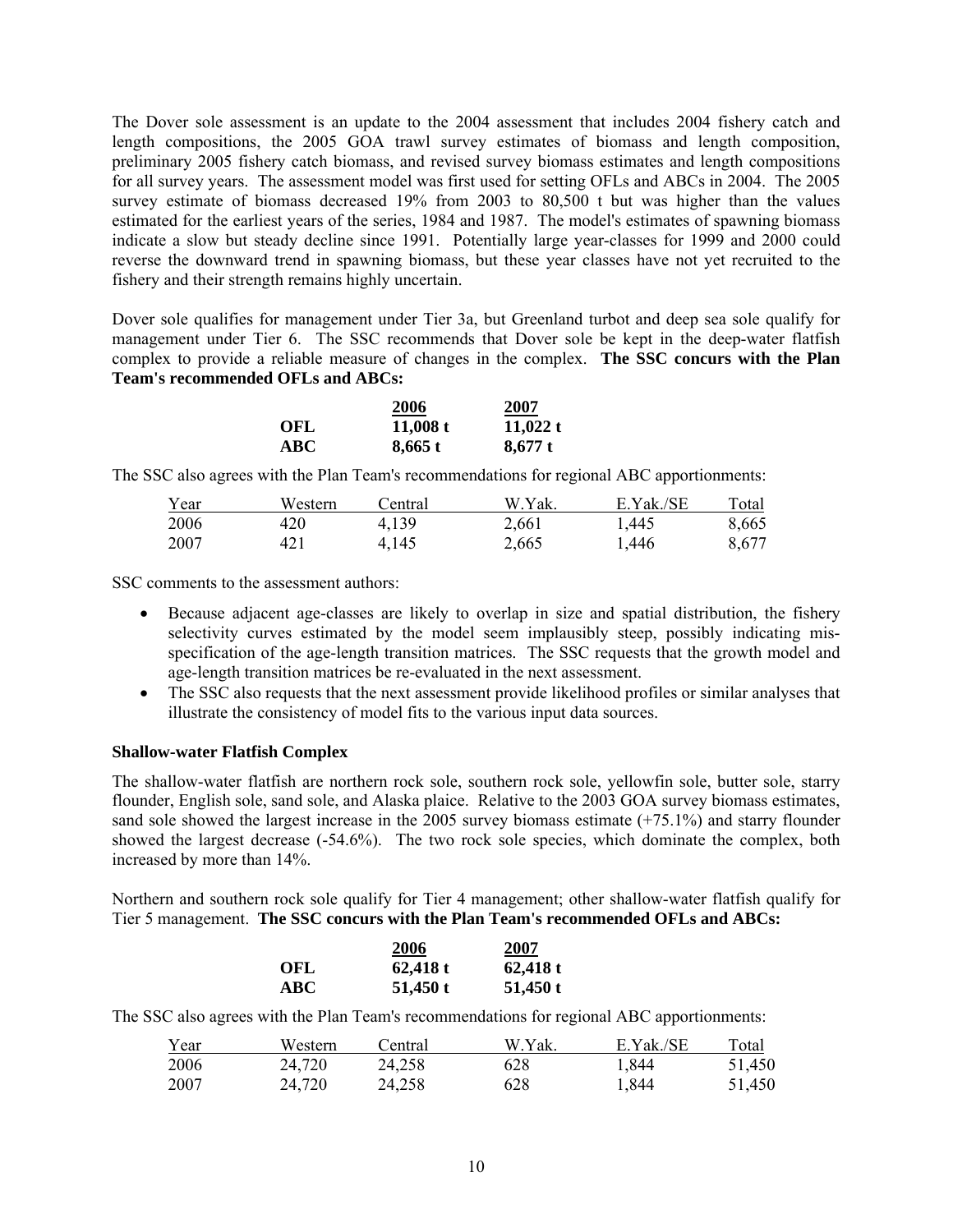The Dover sole assessment is an update to the 2004 assessment that includes 2004 fishery catch and length compositions, the 2005 GOA trawl survey estimates of biomass and length composition, preliminary 2005 fishery catch biomass, and revised survey biomass estimates and length compositions for all survey years. The assessment model was first used for setting OFLs and ABCs in 2004. The 2005 survey estimate of biomass decreased 19% from 2003 to 80,500 t but was higher than the values estimated for the earliest years of the series, 1984 and 1987. The model's estimates of spawning biomass indicate a slow but steady decline since 1991. Potentially large year-classes for 1999 and 2000 could reverse the downward trend in spawning biomass, but these year classes have not yet recruited to the fishery and their strength remains highly uncertain.

Dover sole qualifies for management under Tier 3a, but Greenland turbot and deep sea sole qualify for management under Tier 6. The SSC recommends that Dover sole be kept in the deep-water flatfish complex to provide a reliable measure of changes in the complex. **The SSC concurs with the Plan Team's recommended OFLs and ABCs:** 

|            | 2006      | 2007      |
|------------|-----------|-----------|
| OFL        | 11,008 t  | 11,022 t  |
| <b>ABC</b> | $8,665$ t | $8,677$ t |

The SSC also agrees with the Plan Team's recommendations for regional ABC apportionments:

| Year | Western | Central | W.Yak. | E.Yak/SE | Total |
|------|---------|---------|--------|----------|-------|
| 2006 | 420     | 4.139   | 2,661  | 1.445    | 8,665 |
| 2007 | 421     | 4.145   | 2,665  | 1.446    | 8,677 |

SSC comments to the assessment authors:

- Because adjacent age-classes are likely to overlap in size and spatial distribution, the fishery selectivity curves estimated by the model seem implausibly steep, possibly indicating misspecification of the age-length transition matrices. The SSC requests that the growth model and age-length transition matrices be re-evaluated in the next assessment.
- The SSC also requests that the next assessment provide likelihood profiles or similar analyses that illustrate the consistency of model fits to the various input data sources.

## **Shallow-water Flatfish Complex**

The shallow-water flatfish are northern rock sole, southern rock sole, yellowfin sole, butter sole, starry flounder, English sole, sand sole, and Alaska plaice. Relative to the 2003 GOA survey biomass estimates, sand sole showed the largest increase in the 2005 survey biomass estimate (+75.1%) and starry flounder showed the largest decrease (-54.6%). The two rock sole species, which dominate the complex, both increased by more than 14%.

Northern and southern rock sole qualify for Tier 4 management; other shallow-water flatfish qualify for Tier 5 management. **The SSC concurs with the Plan Team's recommended OFLs and ABCs:** 

|            | 2006     | 2007     |
|------------|----------|----------|
| OFL        | 62,418 t | 62,418 t |
| <b>ABC</b> | 51,450 t | 51,450 t |

The SSC also agrees with the Plan Team's recommendations for regional ABC apportionments:

| Year | Western | Central | W.Yak. | E.Yak/SE | Total  |
|------|---------|---------|--------|----------|--------|
| 2006 | 24,720  | 24,258  | 628    | 1.844    | 51,450 |
| 2007 | 24,720  | 24,258  | 628    | 1.844    | 51,450 |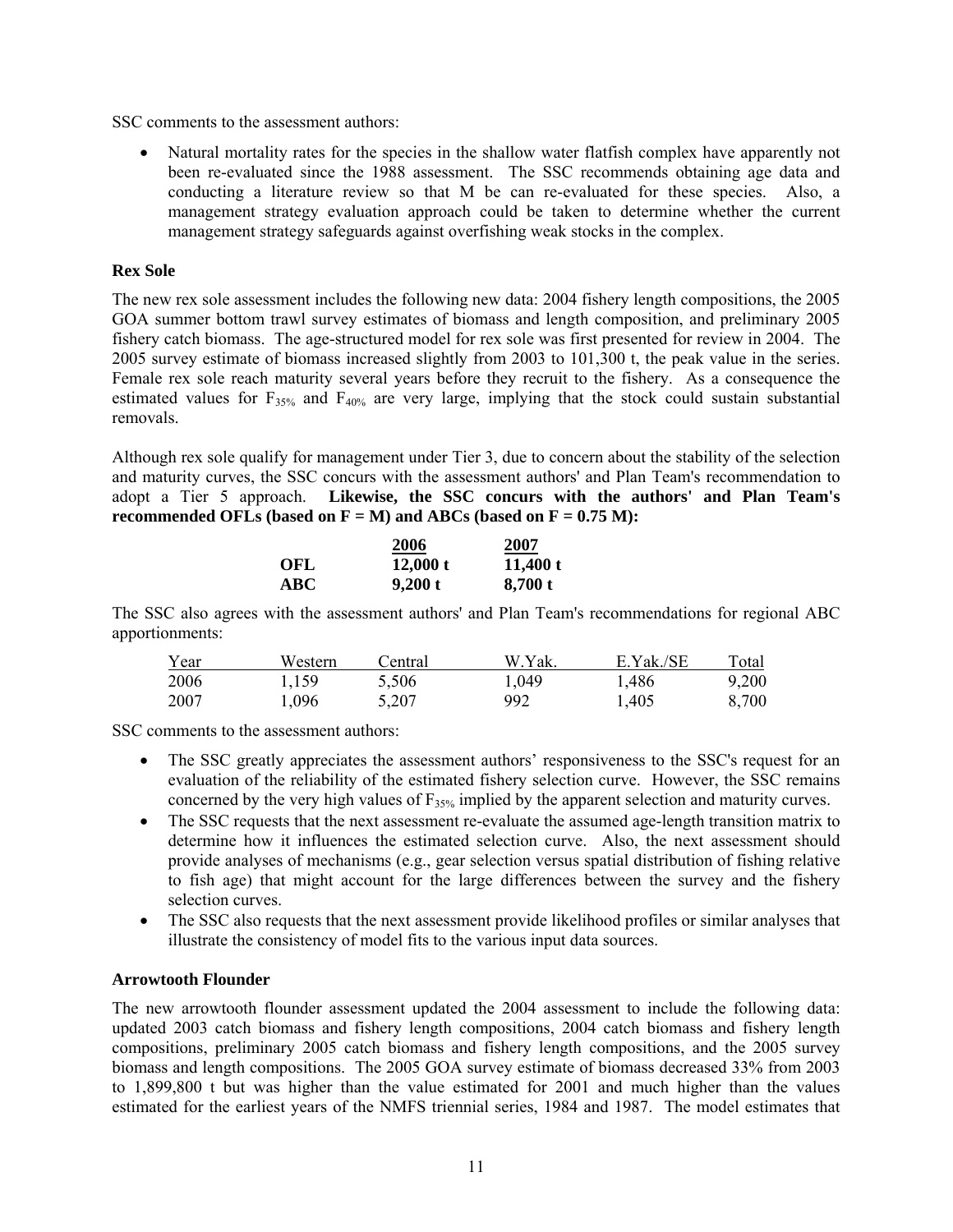SSC comments to the assessment authors:

• Natural mortality rates for the species in the shallow water flatfish complex have apparently not been re-evaluated since the 1988 assessment. The SSC recommends obtaining age data and conducting a literature review so that M be can re-evaluated for these species. Also, a management strategy evaluation approach could be taken to determine whether the current management strategy safeguards against overfishing weak stocks in the complex.

## **Rex Sole**

The new rex sole assessment includes the following new data: 2004 fishery length compositions, the 2005 GOA summer bottom trawl survey estimates of biomass and length composition, and preliminary 2005 fishery catch biomass. The age-structured model for rex sole was first presented for review in 2004. The 2005 survey estimate of biomass increased slightly from 2003 to 101,300 t, the peak value in the series. Female rex sole reach maturity several years before they recruit to the fishery. As a consequence the estimated values for  $F_{35\%}$  and  $F_{40\%}$  are very large, implying that the stock could sustain substantial removals.

Although rex sole qualify for management under Tier 3, due to concern about the stability of the selection and maturity curves, the SSC concurs with the assessment authors' and Plan Team's recommendation to adopt a Tier 5 approach. **Likewise, the SSC concurs with the authors' and Plan Team's**  recommended OFLs (based on  $F = M$ ) and ABCs (based on  $F = 0.75$  M):

|            | 2006     | 2007     |
|------------|----------|----------|
| OFL        | 12,000 t | 11,400 t |
| <b>ABC</b> | 9,200 t  | 8,700 t  |

The SSC also agrees with the assessment authors' and Plan Team's recommendations for regional ABC apportionments:

| Year | Western | Central | W.Yak. | E.Yak./SE | Total |
|------|---------|---------|--------|-----------|-------|
| 2006 | 1.159   | 5,506   | 1,049  | 1.486     | 9,200 |
| 2007 | 1,096   | 5,207   | 992    | 1.405     | 8,700 |

SSC comments to the assessment authors:

- The SSC greatly appreciates the assessment authors' responsiveness to the SSC's request for an evaluation of the reliability of the estimated fishery selection curve. However, the SSC remains concerned by the very high values of F35% implied by the apparent selection and maturity curves.
- The SSC requests that the next assessment re-evaluate the assumed age-length transition matrix to determine how it influences the estimated selection curve. Also, the next assessment should provide analyses of mechanisms (e.g., gear selection versus spatial distribution of fishing relative to fish age) that might account for the large differences between the survey and the fishery selection curves.
- The SSC also requests that the next assessment provide likelihood profiles or similar analyses that illustrate the consistency of model fits to the various input data sources.

## **Arrowtooth Flounder**

The new arrowtooth flounder assessment updated the 2004 assessment to include the following data: updated 2003 catch biomass and fishery length compositions, 2004 catch biomass and fishery length compositions, preliminary 2005 catch biomass and fishery length compositions, and the 2005 survey biomass and length compositions. The 2005 GOA survey estimate of biomass decreased 33% from 2003 to 1,899,800 t but was higher than the value estimated for 2001 and much higher than the values estimated for the earliest years of the NMFS triennial series, 1984 and 1987. The model estimates that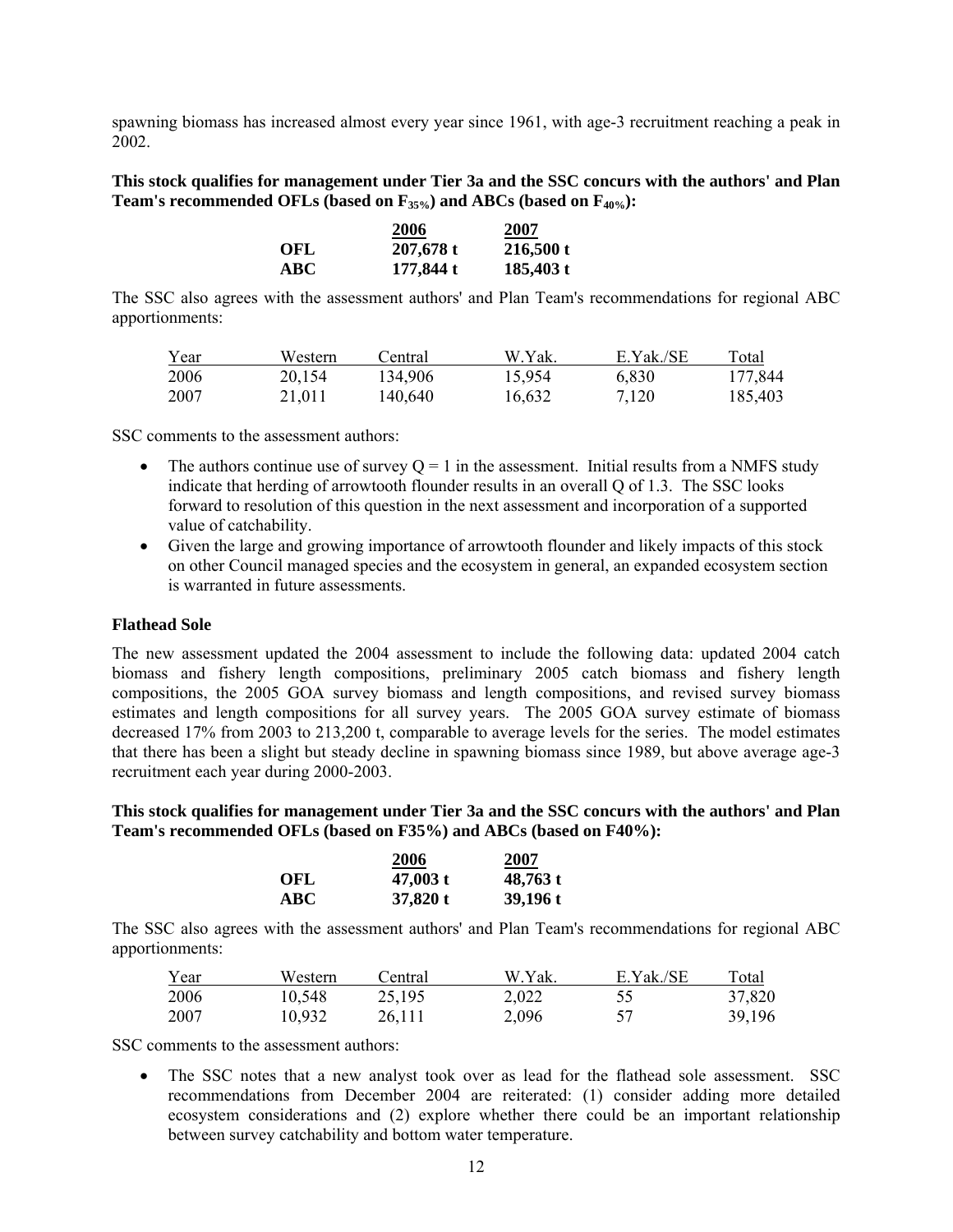spawning biomass has increased almost every year since 1961, with age-3 recruitment reaching a peak in 2002.

**This stock qualifies for management under Tier 3a and the SSC concurs with the authors' and Plan**  Team's recommended OFLs (based on F<sub>35%</sub>) and ABCs (based on F<sub>40%</sub>):

|            | 2006      | 2007        |
|------------|-----------|-------------|
| OFL        | 207,678 t | 216,500 t   |
| <b>ABC</b> | 177,844 t | $185,403$ t |

The SSC also agrees with the assessment authors' and Plan Team's recommendations for regional ABC apportionments:

| Year | Western | Central | W.Yak. | E.Yak./SE | Total   |
|------|---------|---------|--------|-----------|---------|
| 2006 | 20.154  | 134,906 | 15.954 | 6,830     | 177.844 |
| 2007 | 21,011  | 140,640 | 16,632 | 7,120     | 185,403 |

SSC comments to the assessment authors:

- The authors continue use of survey  $Q = 1$  in the assessment. Initial results from a NMFS study indicate that herding of arrowtooth flounder results in an overall Q of 1.3. The SSC looks forward to resolution of this question in the next assessment and incorporation of a supported value of catchability.
- Given the large and growing importance of arrowtooth flounder and likely impacts of this stock on other Council managed species and the ecosystem in general, an expanded ecosystem section is warranted in future assessments.

#### **Flathead Sole**

The new assessment updated the 2004 assessment to include the following data: updated 2004 catch biomass and fishery length compositions, preliminary 2005 catch biomass and fishery length compositions, the 2005 GOA survey biomass and length compositions, and revised survey biomass estimates and length compositions for all survey years. The 2005 GOA survey estimate of biomass decreased 17% from 2003 to 213,200 t, comparable to average levels for the series. The model estimates that there has been a slight but steady decline in spawning biomass since 1989, but above average age-3 recruitment each year during 2000-2003.

#### **This stock qualifies for management under Tier 3a and the SSC concurs with the authors' and Plan Team's recommended OFLs (based on F35%) and ABCs (based on F40%):**

|            | 2006     | 2007       |
|------------|----------|------------|
| OFL        | 47,003 t | $48,763$ t |
| <b>ABC</b> | 37,820 t | $39,196$ t |

The SSC also agrees with the assessment authors' and Plan Team's recommendations for regional ABC apportionments:

| Year | Western | Central | W.Yak. | E.Yak/SE | Total  |
|------|---------|---------|--------|----------|--------|
| 2006 | 10,548  | 25,195  | 2,022  |          | 37,820 |
| 2007 | 10.932  | 26.111  | 2,096  |          | 39,196 |

SSC comments to the assessment authors:

• The SSC notes that a new analyst took over as lead for the flathead sole assessment. SSC recommendations from December 2004 are reiterated: (1) consider adding more detailed ecosystem considerations and (2) explore whether there could be an important relationship between survey catchability and bottom water temperature.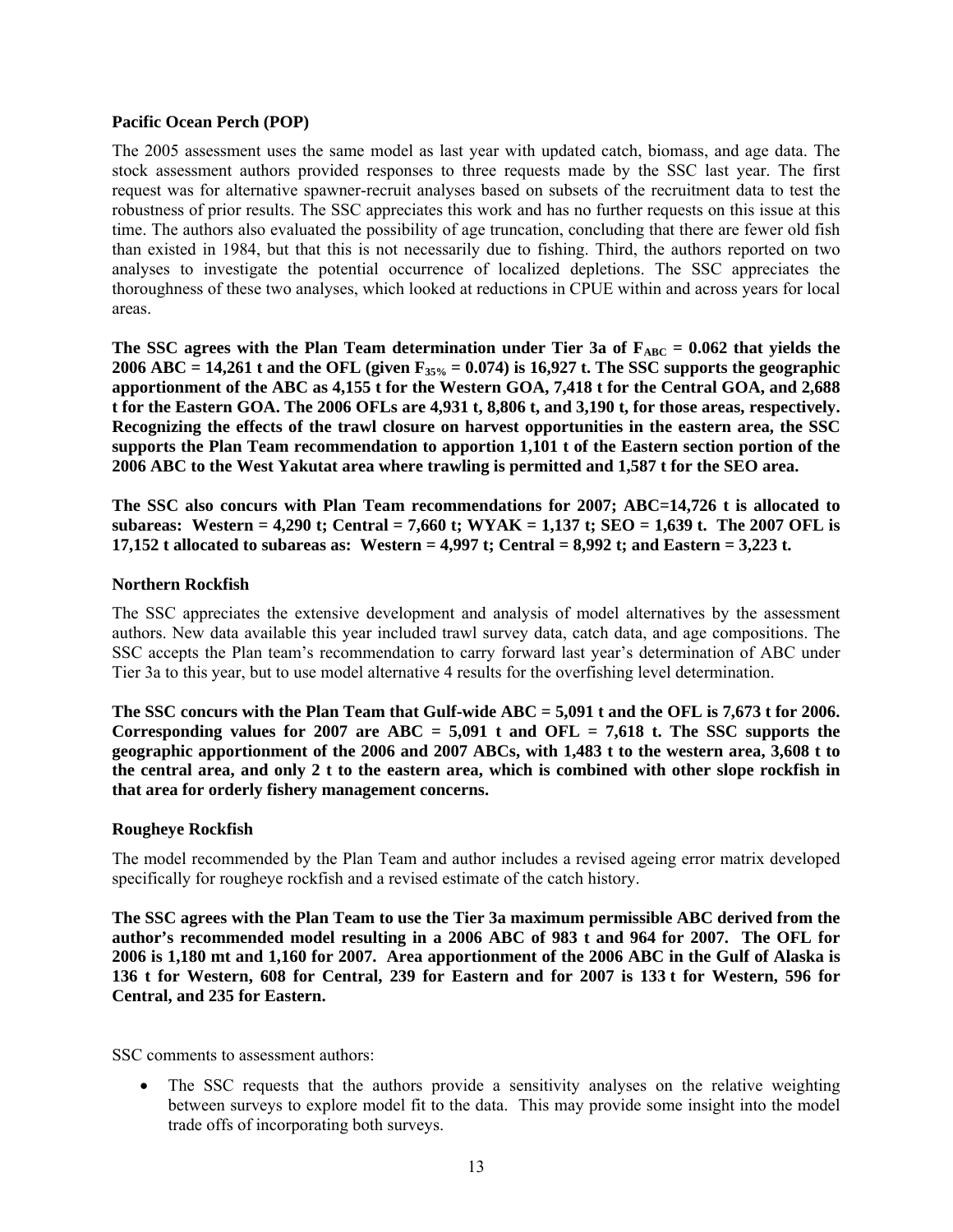#### **Pacific Ocean Perch (POP)**

The 2005 assessment uses the same model as last year with updated catch, biomass, and age data. The stock assessment authors provided responses to three requests made by the SSC last year. The first request was for alternative spawner-recruit analyses based on subsets of the recruitment data to test the robustness of prior results. The SSC appreciates this work and has no further requests on this issue at this time. The authors also evaluated the possibility of age truncation, concluding that there are fewer old fish than existed in 1984, but that this is not necessarily due to fishing. Third, the authors reported on two analyses to investigate the potential occurrence of localized depletions. The SSC appreciates the thoroughness of these two analyses, which looked at reductions in CPUE within and across years for local areas.

The SSC agrees with the Plan Team determination under Tier 3a of  $F_{ABC} = 0.062$  that yields the 2006 ABC = 14,261 t and the OFL (given  $F_{35\%}$  = 0.074) is 16,927 t. The SSC supports the geographic **apportionment of the ABC as 4,155 t for the Western GOA, 7,418 t for the Central GOA, and 2,688 t for the Eastern GOA. The 2006 OFLs are 4,931 t, 8,806 t, and 3,190 t, for those areas, respectively. Recognizing the effects of the trawl closure on harvest opportunities in the eastern area, the SSC supports the Plan Team recommendation to apportion 1,101 t of the Eastern section portion of the 2006 ABC to the West Yakutat area where trawling is permitted and 1,587 t for the SEO area.** 

**The SSC also concurs with Plan Team recommendations for 2007; ABC=14,726 t is allocated to subareas: Western = 4,290 t; Central = 7,660 t; WYAK = 1,137 t; SEO = 1,639 t. The 2007 OFL is 17,152 t allocated to subareas as: Western = 4,997 t; Central = 8,992 t; and Eastern = 3,223 t.** 

#### **Northern Rockfish**

The SSC appreciates the extensive development and analysis of model alternatives by the assessment authors. New data available this year included trawl survey data, catch data, and age compositions. The SSC accepts the Plan team's recommendation to carry forward last year's determination of ABC under Tier 3a to this year, but to use model alternative 4 results for the overfishing level determination.

**The SSC concurs with the Plan Team that Gulf-wide ABC = 5,091 t and the OFL is 7,673 t for 2006.**  Corresponding values for  $2007$  are  $ABC = 5,091$  t and  $OFL = 7,618$  t. The SSC supports the **geographic apportionment of the 2006 and 2007 ABCs, with 1,483 t to the western area, 3,608 t to the central area, and only 2 t to the eastern area, which is combined with other slope rockfish in that area for orderly fishery management concerns.** 

## **Rougheye Rockfish**

The model recommended by the Plan Team and author includes a revised ageing error matrix developed specifically for rougheye rockfish and a revised estimate of the catch history.

**The SSC agrees with the Plan Team to use the Tier 3a maximum permissible ABC derived from the author's recommended model resulting in a 2006 ABC of 983 t and 964 for 2007. The OFL for 2006 is 1,180 mt and 1,160 for 2007. Area apportionment of the 2006 ABC in the Gulf of Alaska is 136 t for Western, 608 for Central, 239 for Eastern and for 2007 is 133 t for Western, 596 for Central, and 235 for Eastern.**

SSC comments to assessment authors:

• The SSC requests that the authors provide a sensitivity analyses on the relative weighting between surveys to explore model fit to the data. This may provide some insight into the model trade offs of incorporating both surveys.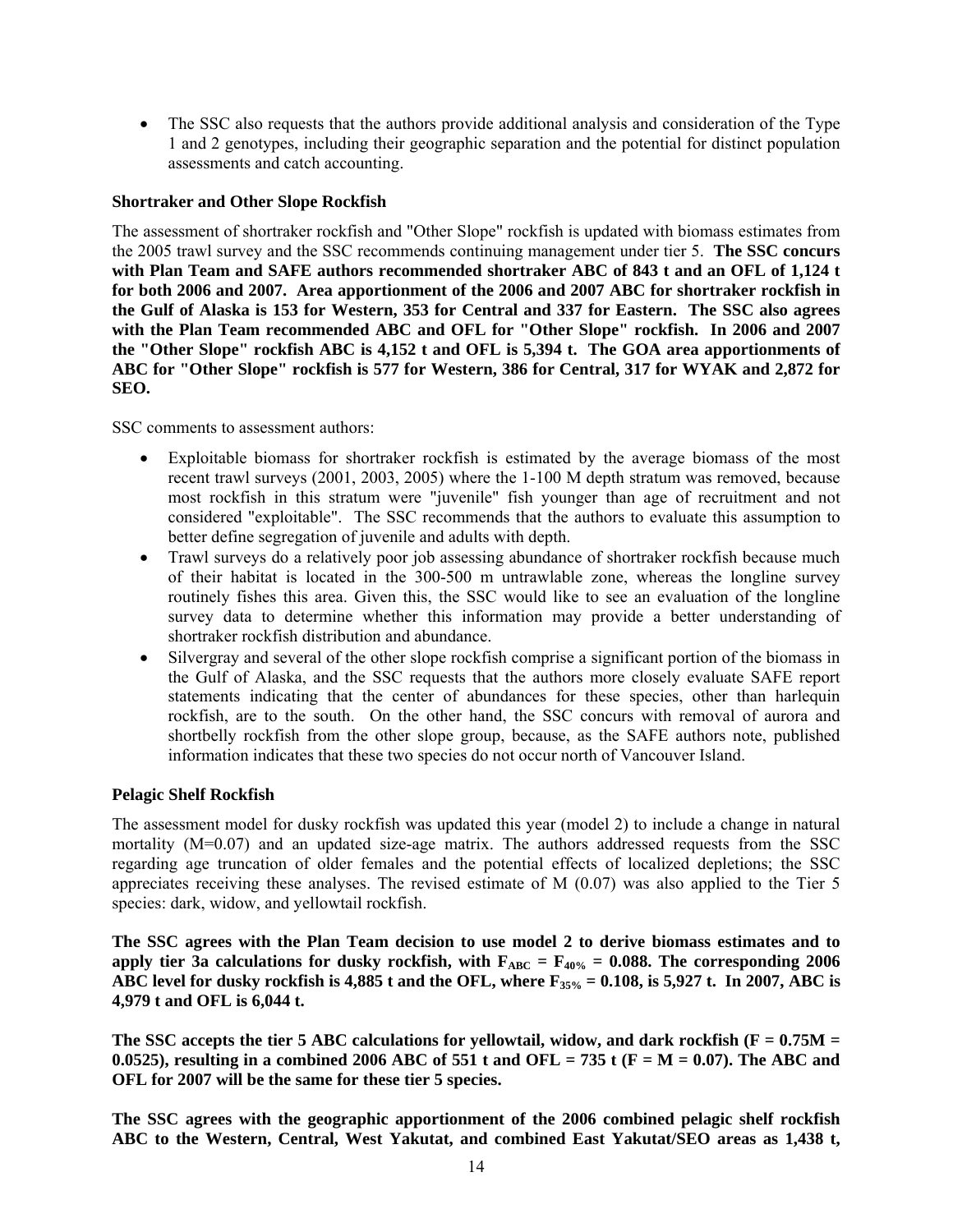• The SSC also requests that the authors provide additional analysis and consideration of the Type 1 and 2 genotypes, including their geographic separation and the potential for distinct population assessments and catch accounting.

## **Shortraker and Other Slope Rockfish**

The assessment of shortraker rockfish and "Other Slope" rockfish is updated with biomass estimates from the 2005 trawl survey and the SSC recommends continuing management under tier 5. **The SSC concurs with Plan Team and SAFE authors recommended shortraker ABC of 843 t and an OFL of 1,124 t for both 2006 and 2007. Area apportionment of the 2006 and 2007 ABC for shortraker rockfish in the Gulf of Alaska is 153 for Western, 353 for Central and 337 for Eastern. The SSC also agrees with the Plan Team recommended ABC and OFL for "Other Slope" rockfish. In 2006 and 2007 the "Other Slope" rockfish ABC is 4,152 t and OFL is 5,394 t. The GOA area apportionments of ABC for "Other Slope" rockfish is 577 for Western, 386 for Central, 317 for WYAK and 2,872 for SEO.**

SSC comments to assessment authors:

- Exploitable biomass for shortraker rockfish is estimated by the average biomass of the most recent trawl surveys (2001, 2003, 2005) where the 1-100 M depth stratum was removed, because most rockfish in this stratum were "juvenile" fish younger than age of recruitment and not considered "exploitable". The SSC recommends that the authors to evaluate this assumption to better define segregation of juvenile and adults with depth.
- Trawl surveys do a relatively poor job assessing abundance of shortraker rockfish because much of their habitat is located in the 300-500 m untrawlable zone, whereas the longline survey routinely fishes this area. Given this, the SSC would like to see an evaluation of the longline survey data to determine whether this information may provide a better understanding of shortraker rockfish distribution and abundance.
- Silvergray and several of the other slope rockfish comprise a significant portion of the biomass in the Gulf of Alaska, and the SSC requests that the authors more closely evaluate SAFE report statements indicating that the center of abundances for these species, other than harlequin rockfish, are to the south. On the other hand, the SSC concurs with removal of aurora and shortbelly rockfish from the other slope group, because, as the SAFE authors note, published information indicates that these two species do not occur north of Vancouver Island.

## **Pelagic Shelf Rockfish**

The assessment model for dusky rockfish was updated this year (model 2) to include a change in natural mortality  $(M=0.07)$  and an updated size-age matrix. The authors addressed requests from the SSC regarding age truncation of older females and the potential effects of localized depletions; the SSC appreciates receiving these analyses. The revised estimate of  $M(0.07)$  was also applied to the Tier 5 species: dark, widow, and yellowtail rockfish.

**The SSC agrees with the Plan Team decision to use model 2 to derive biomass estimates and to**  apply tier 3a calculations for dusky rockfish, with  $F_{ABC} = F_{40\%} = 0.088$ . The corresponding 2006 ABC level for dusky rockfish is 4,885 t and the OFL, where  $F_{35\%} = 0.108$ , is 5,927 t. In 2007, ABC is **4,979 t and OFL is 6,044 t.** 

The SSC accepts the tier 5 ABC calculations for yellowtail, widow, and dark rockfish (F = 0.75M = 0.0525), resulting in a combined 2006 ABC of 551 t and OFL = 735 t ( $F = M = 0.07$ ). The ABC and **OFL for 2007 will be the same for these tier 5 species.** 

**The SSC agrees with the geographic apportionment of the 2006 combined pelagic shelf rockfish ABC to the Western, Central, West Yakutat, and combined East Yakutat/SEO areas as 1,438 t,**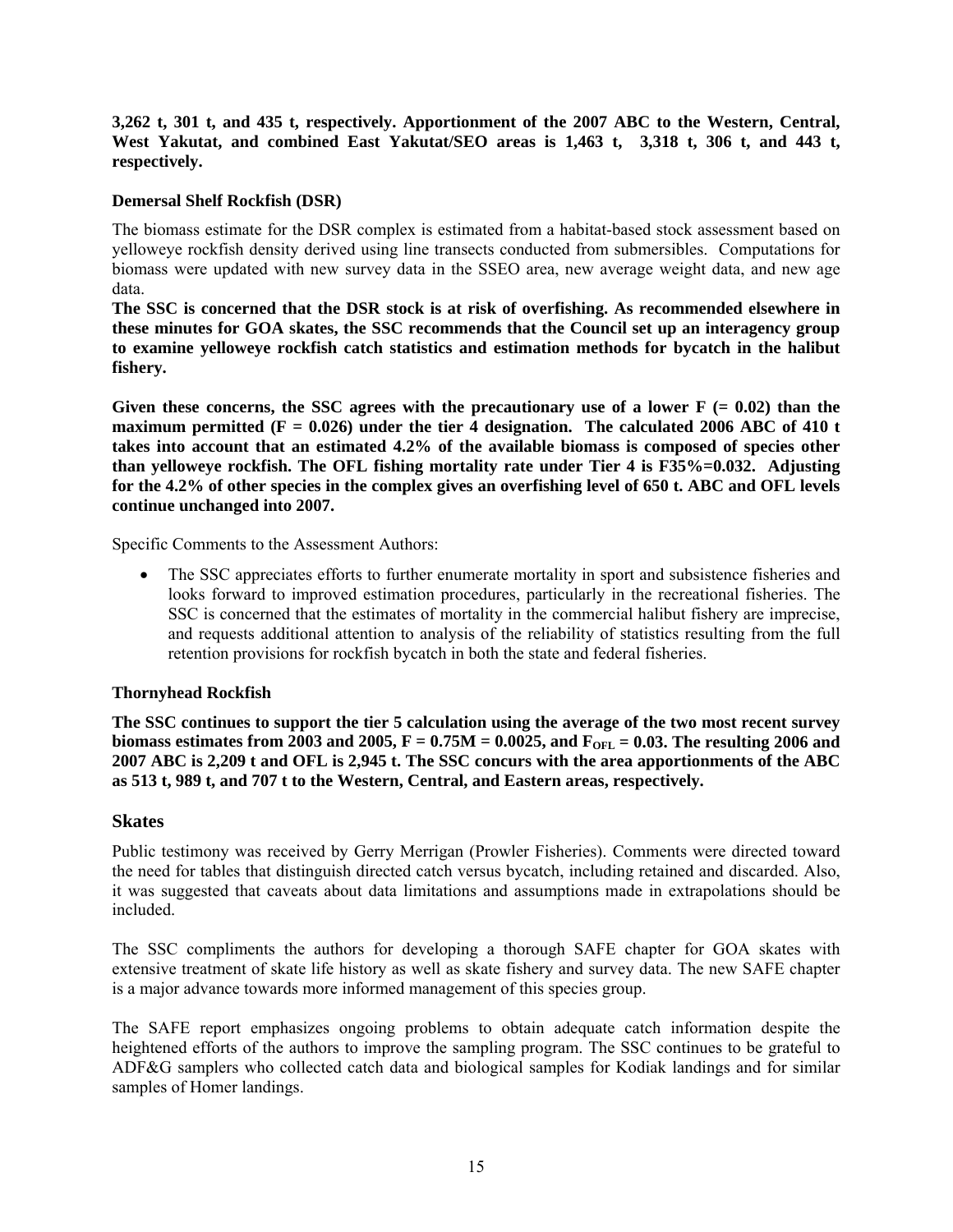**3,262 t, 301 t, and 435 t, respectively. Apportionment of the 2007 ABC to the Western, Central, West Yakutat, and combined East Yakutat/SEO areas is 1,463 t, 3,318 t, 306 t, and 443 t, respectively.** 

## **Demersal Shelf Rockfish (DSR)**

The biomass estimate for the DSR complex is estimated from a habitat-based stock assessment based on yelloweye rockfish density derived using line transects conducted from submersibles. Computations for biomass were updated with new survey data in the SSEO area, new average weight data, and new age data.

**The SSC is concerned that the DSR stock is at risk of overfishing. As recommended elsewhere in these minutes for GOA skates, the SSC recommends that the Council set up an interagency group to examine yelloweye rockfish catch statistics and estimation methods for bycatch in the halibut fishery.** 

Given these concerns, the SSC agrees with the precautionary use of a lower  $F = 0.02$  than the maximum permitted  $(F = 0.026)$  under the tier 4 designation. The calculated 2006 ABC of 410 t **takes into account that an estimated 4.2% of the available biomass is composed of species other than yelloweye rockfish. The OFL fishing mortality rate under Tier 4 is F35%=0.032. Adjusting for the 4.2% of other species in the complex gives an overfishing level of 650 t. ABC and OFL levels continue unchanged into 2007.** 

Specific Comments to the Assessment Authors:

• The SSC appreciates efforts to further enumerate mortality in sport and subsistence fisheries and looks forward to improved estimation procedures, particularly in the recreational fisheries. The SSC is concerned that the estimates of mortality in the commercial halibut fishery are imprecise, and requests additional attention to analysis of the reliability of statistics resulting from the full retention provisions for rockfish bycatch in both the state and federal fisheries.

# **Thornyhead Rockfish**

**The SSC continues to support the tier 5 calculation using the average of the two most recent survey**  biomass estimates from 2003 and 2005,  $F = 0.75M = 0.0025$ , and  $F_{\text{OFL}} = 0.03$ . The resulting 2006 and **2007 ABC is 2,209 t and OFL is 2,945 t. The SSC concurs with the area apportionments of the ABC as 513 t, 989 t, and 707 t to the Western, Central, and Eastern areas, respectively.**

## **Skates**

Public testimony was received by Gerry Merrigan (Prowler Fisheries). Comments were directed toward the need for tables that distinguish directed catch versus bycatch, including retained and discarded. Also, it was suggested that caveats about data limitations and assumptions made in extrapolations should be included.

The SSC compliments the authors for developing a thorough SAFE chapter for GOA skates with extensive treatment of skate life history as well as skate fishery and survey data. The new SAFE chapter is a major advance towards more informed management of this species group.

The SAFE report emphasizes ongoing problems to obtain adequate catch information despite the heightened efforts of the authors to improve the sampling program. The SSC continues to be grateful to ADF&G samplers who collected catch data and biological samples for Kodiak landings and for similar samples of Homer landings.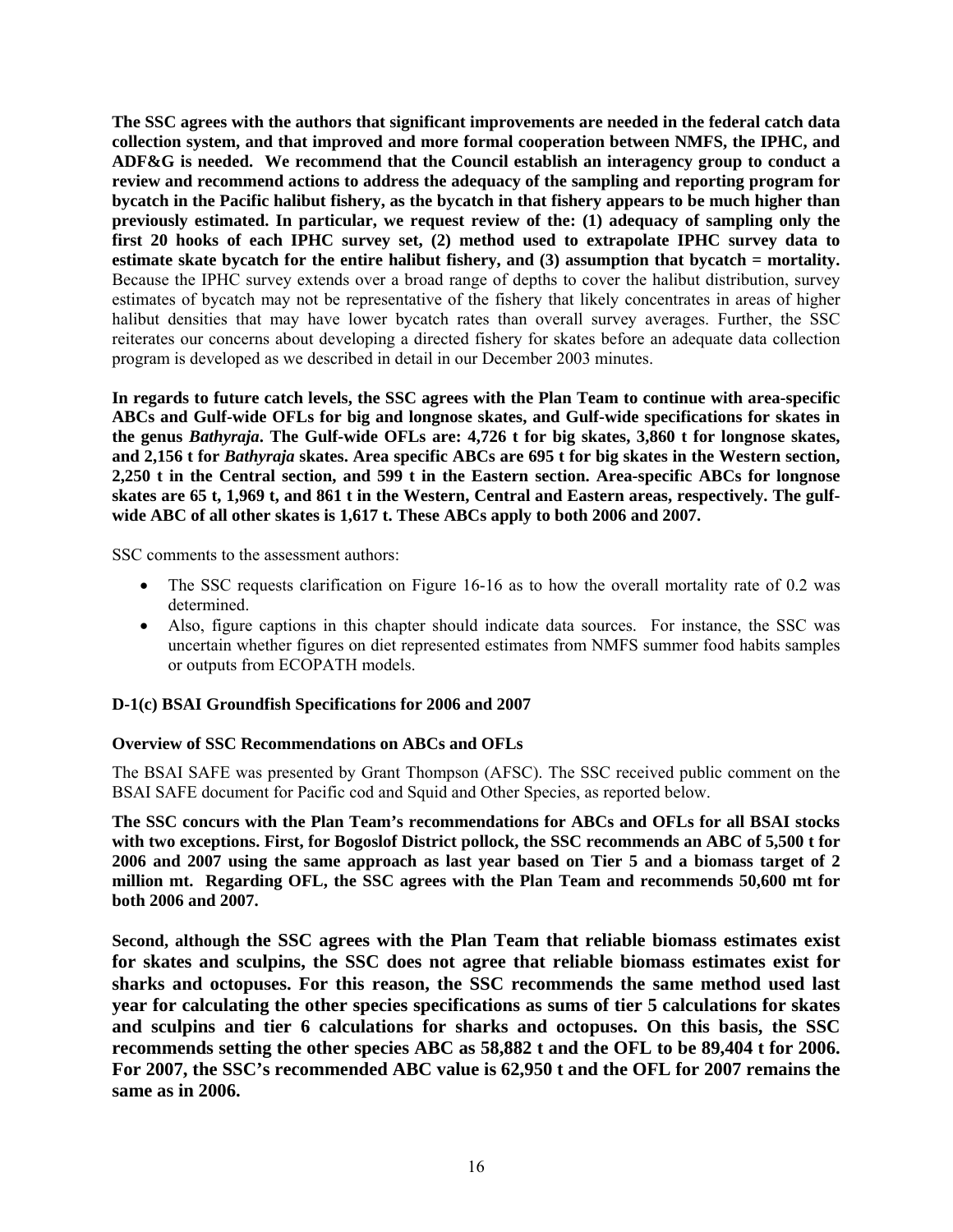**The SSC agrees with the authors that significant improvements are needed in the federal catch data collection system, and that improved and more formal cooperation between NMFS, the IPHC, and ADF&G is needed. We recommend that the Council establish an interagency group to conduct a review and recommend actions to address the adequacy of the sampling and reporting program for bycatch in the Pacific halibut fishery, as the bycatch in that fishery appears to be much higher than previously estimated. In particular, we request review of the: (1) adequacy of sampling only the first 20 hooks of each IPHC survey set, (2) method used to extrapolate IPHC survey data to estimate skate bycatch for the entire halibut fishery, and (3) assumption that bycatch = mortality.** Because the IPHC survey extends over a broad range of depths to cover the halibut distribution, survey estimates of bycatch may not be representative of the fishery that likely concentrates in areas of higher halibut densities that may have lower bycatch rates than overall survey averages. Further, the SSC reiterates our concerns about developing a directed fishery for skates before an adequate data collection program is developed as we described in detail in our December 2003 minutes.

**In regards to future catch levels, the SSC agrees with the Plan Team to continue with area-specific ABCs and Gulf-wide OFLs for big and longnose skates, and Gulf-wide specifications for skates in the genus** *Bathyraja***. The Gulf-wide OFLs are: 4,726 t for big skates, 3,860 t for longnose skates, and 2,156 t for** *Bathyraja* **skates. Area specific ABCs are 695 t for big skates in the Western section, 2,250 t in the Central section, and 599 t in the Eastern section. Area-specific ABCs for longnose skates are 65 t, 1,969 t, and 861 t in the Western, Central and Eastern areas, respectively. The gulfwide ABC of all other skates is 1,617 t. These ABCs apply to both 2006 and 2007.** 

SSC comments to the assessment authors:

- The SSC requests clarification on Figure 16-16 as to how the overall mortality rate of 0.2 was determined.
- Also, figure captions in this chapter should indicate data sources. For instance, the SSC was uncertain whether figures on diet represented estimates from NMFS summer food habits samples or outputs from ECOPATH models.

## **D-1(c) BSAI Groundfish Specifications for 2006 and 2007**

#### **Overview of SSC Recommendations on ABCs and OFLs**

The BSAI SAFE was presented by Grant Thompson (AFSC). The SSC received public comment on the BSAI SAFE document for Pacific cod and Squid and Other Species, as reported below.

**The SSC concurs with the Plan Team's recommendations for ABCs and OFLs for all BSAI stocks with two exceptions. First, for Bogoslof District pollock, the SSC recommends an ABC of 5,500 t for 2006 and 2007 using the same approach as last year based on Tier 5 and a biomass target of 2 million mt. Regarding OFL, the SSC agrees with the Plan Team and recommends 50,600 mt for both 2006 and 2007.** 

**Second, although the SSC agrees with the Plan Team that reliable biomass estimates exist for skates and sculpins, the SSC does not agree that reliable biomass estimates exist for sharks and octopuses. For this reason, the SSC recommends the same method used last year for calculating the other species specifications as sums of tier 5 calculations for skates and sculpins and tier 6 calculations for sharks and octopuses. On this basis, the SSC recommends setting the other species ABC as 58,882 t and the OFL to be 89,404 t for 2006. For 2007, the SSC's recommended ABC value is 62,950 t and the OFL for 2007 remains the same as in 2006.**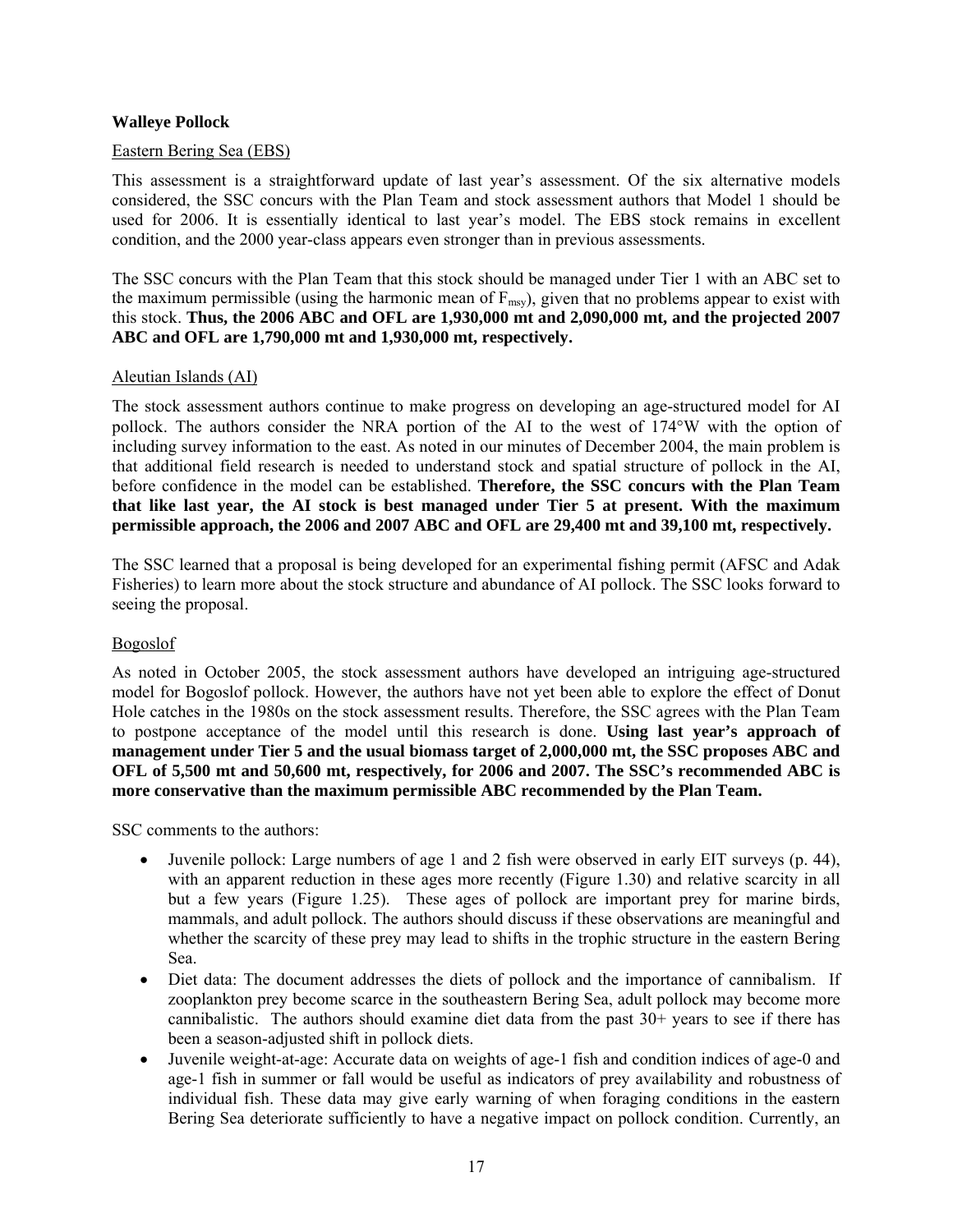#### **Walleye Pollock**

#### Eastern Bering Sea (EBS)

This assessment is a straightforward update of last year's assessment. Of the six alternative models considered, the SSC concurs with the Plan Team and stock assessment authors that Model 1 should be used for 2006. It is essentially identical to last year's model. The EBS stock remains in excellent condition, and the 2000 year-class appears even stronger than in previous assessments.

The SSC concurs with the Plan Team that this stock should be managed under Tier 1 with an ABC set to the maximum permissible (using the harmonic mean of  $F_{\text{msv}}$ ), given that no problems appear to exist with this stock. **Thus, the 2006 ABC and OFL are 1,930,000 mt and 2,090,000 mt, and the projected 2007 ABC and OFL are 1,790,000 mt and 1,930,000 mt, respectively.**

#### Aleutian Islands (AI)

The stock assessment authors continue to make progress on developing an age-structured model for AI pollock. The authors consider the NRA portion of the AI to the west of 174°W with the option of including survey information to the east. As noted in our minutes of December 2004, the main problem is that additional field research is needed to understand stock and spatial structure of pollock in the AI, before confidence in the model can be established. **Therefore, the SSC concurs with the Plan Team that like last year, the AI stock is best managed under Tier 5 at present. With the maximum permissible approach, the 2006 and 2007 ABC and OFL are 29,400 mt and 39,100 mt, respectively.** 

The SSC learned that a proposal is being developed for an experimental fishing permit (AFSC and Adak Fisheries) to learn more about the stock structure and abundance of AI pollock. The SSC looks forward to seeing the proposal.

## Bogoslof

As noted in October 2005, the stock assessment authors have developed an intriguing age-structured model for Bogoslof pollock. However, the authors have not yet been able to explore the effect of Donut Hole catches in the 1980s on the stock assessment results. Therefore, the SSC agrees with the Plan Team to postpone acceptance of the model until this research is done. **Using last year's approach of management under Tier 5 and the usual biomass target of 2,000,000 mt, the SSC proposes ABC and OFL of 5,500 mt and 50,600 mt, respectively, for 2006 and 2007. The SSC's recommended ABC is more conservative than the maximum permissible ABC recommended by the Plan Team.**

SSC comments to the authors:

- Juvenile pollock: Large numbers of age 1 and 2 fish were observed in early EIT surveys (p. 44), with an apparent reduction in these ages more recently (Figure 1.30) and relative scarcity in all but a few years (Figure 1.25). These ages of pollock are important prey for marine birds, mammals, and adult pollock. The authors should discuss if these observations are meaningful and whether the scarcity of these prey may lead to shifts in the trophic structure in the eastern Bering Sea.
- Diet data: The document addresses the diets of pollock and the importance of cannibalism. If zooplankton prey become scarce in the southeastern Bering Sea, adult pollock may become more cannibalistic. The authors should examine diet data from the past 30+ years to see if there has been a season-adjusted shift in pollock diets.
- Juvenile weight-at-age: Accurate data on weights of age-1 fish and condition indices of age-0 and age-1 fish in summer or fall would be useful as indicators of prey availability and robustness of individual fish. These data may give early warning of when foraging conditions in the eastern Bering Sea deteriorate sufficiently to have a negative impact on pollock condition. Currently, an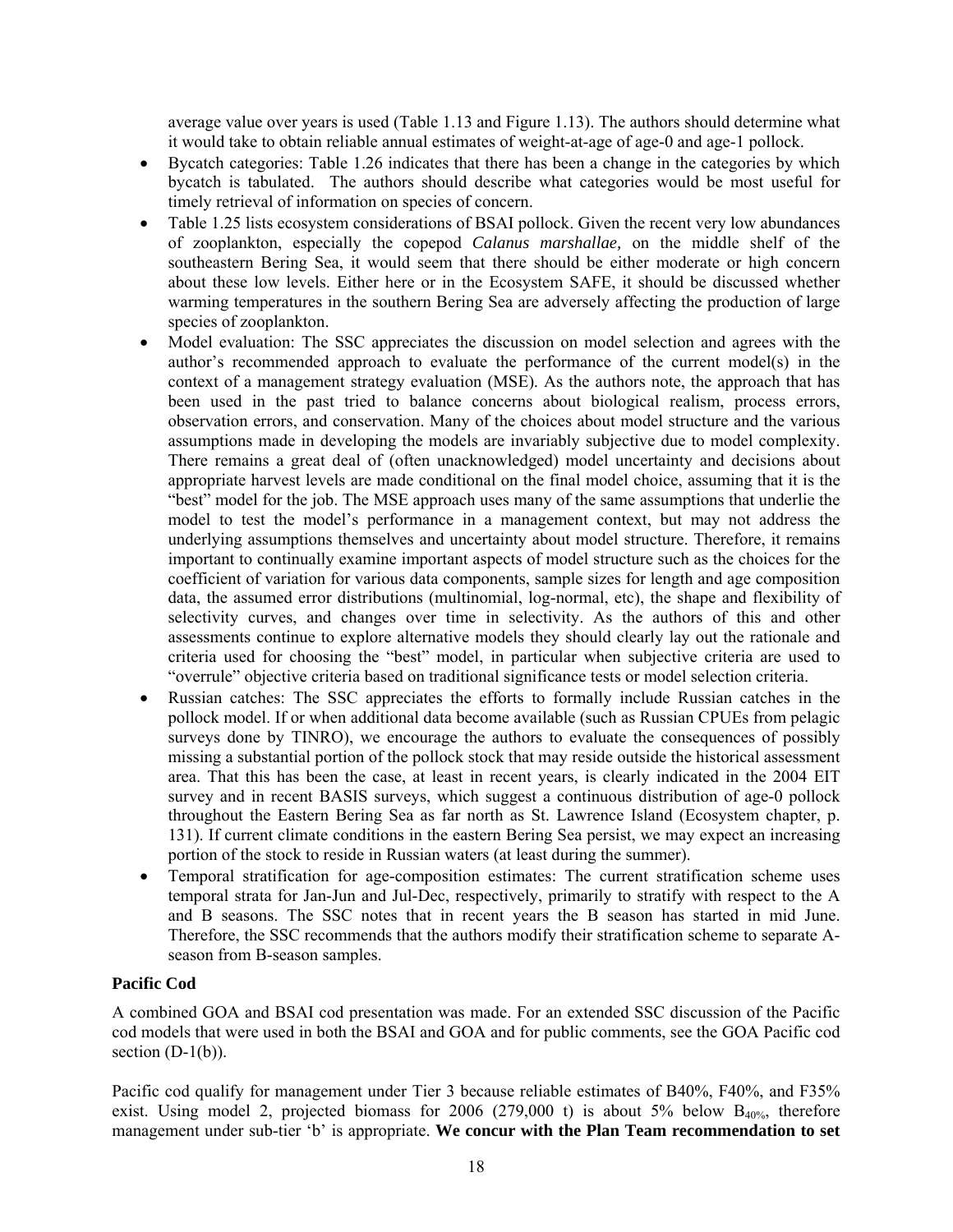average value over years is used (Table 1.13 and Figure 1.13). The authors should determine what it would take to obtain reliable annual estimates of weight-at-age of age-0 and age-1 pollock.

- Bycatch categories: Table 1.26 indicates that there has been a change in the categories by which bycatch is tabulated. The authors should describe what categories would be most useful for timely retrieval of information on species of concern.
- Table 1.25 lists ecosystem considerations of BSAI pollock. Given the recent very low abundances of zooplankton, especially the copepod *Calanus marshallae,* on the middle shelf of the southeastern Bering Sea, it would seem that there should be either moderate or high concern about these low levels. Either here or in the Ecosystem SAFE, it should be discussed whether warming temperatures in the southern Bering Sea are adversely affecting the production of large species of zooplankton.
- Model evaluation: The SSC appreciates the discussion on model selection and agrees with the author's recommended approach to evaluate the performance of the current model(s) in the context of a management strategy evaluation (MSE). As the authors note, the approach that has been used in the past tried to balance concerns about biological realism, process errors, observation errors, and conservation. Many of the choices about model structure and the various assumptions made in developing the models are invariably subjective due to model complexity. There remains a great deal of (often unacknowledged) model uncertainty and decisions about appropriate harvest levels are made conditional on the final model choice, assuming that it is the "best" model for the job. The MSE approach uses many of the same assumptions that underlie the model to test the model's performance in a management context, but may not address the underlying assumptions themselves and uncertainty about model structure. Therefore, it remains important to continually examine important aspects of model structure such as the choices for the coefficient of variation for various data components, sample sizes for length and age composition data, the assumed error distributions (multinomial, log-normal, etc), the shape and flexibility of selectivity curves, and changes over time in selectivity. As the authors of this and other assessments continue to explore alternative models they should clearly lay out the rationale and criteria used for choosing the "best" model, in particular when subjective criteria are used to "overrule" objective criteria based on traditional significance tests or model selection criteria.
- Russian catches: The SSC appreciates the efforts to formally include Russian catches in the pollock model. If or when additional data become available (such as Russian CPUEs from pelagic surveys done by TINRO), we encourage the authors to evaluate the consequences of possibly missing a substantial portion of the pollock stock that may reside outside the historical assessment area. That this has been the case, at least in recent years, is clearly indicated in the 2004 EIT survey and in recent BASIS surveys, which suggest a continuous distribution of age-0 pollock throughout the Eastern Bering Sea as far north as St. Lawrence Island (Ecosystem chapter, p. 131). If current climate conditions in the eastern Bering Sea persist, we may expect an increasing portion of the stock to reside in Russian waters (at least during the summer).
- Temporal stratification for age-composition estimates: The current stratification scheme uses temporal strata for Jan-Jun and Jul-Dec, respectively, primarily to stratify with respect to the A and B seasons. The SSC notes that in recent years the B season has started in mid June. Therefore, the SSC recommends that the authors modify their stratification scheme to separate Aseason from B-season samples.

# **Pacific Cod**

A combined GOA and BSAI cod presentation was made. For an extended SSC discussion of the Pacific cod models that were used in both the BSAI and GOA and for public comments, see the GOA Pacific cod section  $(D-1(b))$ .

Pacific cod qualify for management under Tier 3 because reliable estimates of B40%, F40%, and F35% exist. Using model 2, projected biomass for 2006 (279,000 t) is about 5% below  $B_{40\%}$ , therefore management under sub-tier 'b' is appropriate. **We concur with the Plan Team recommendation to set**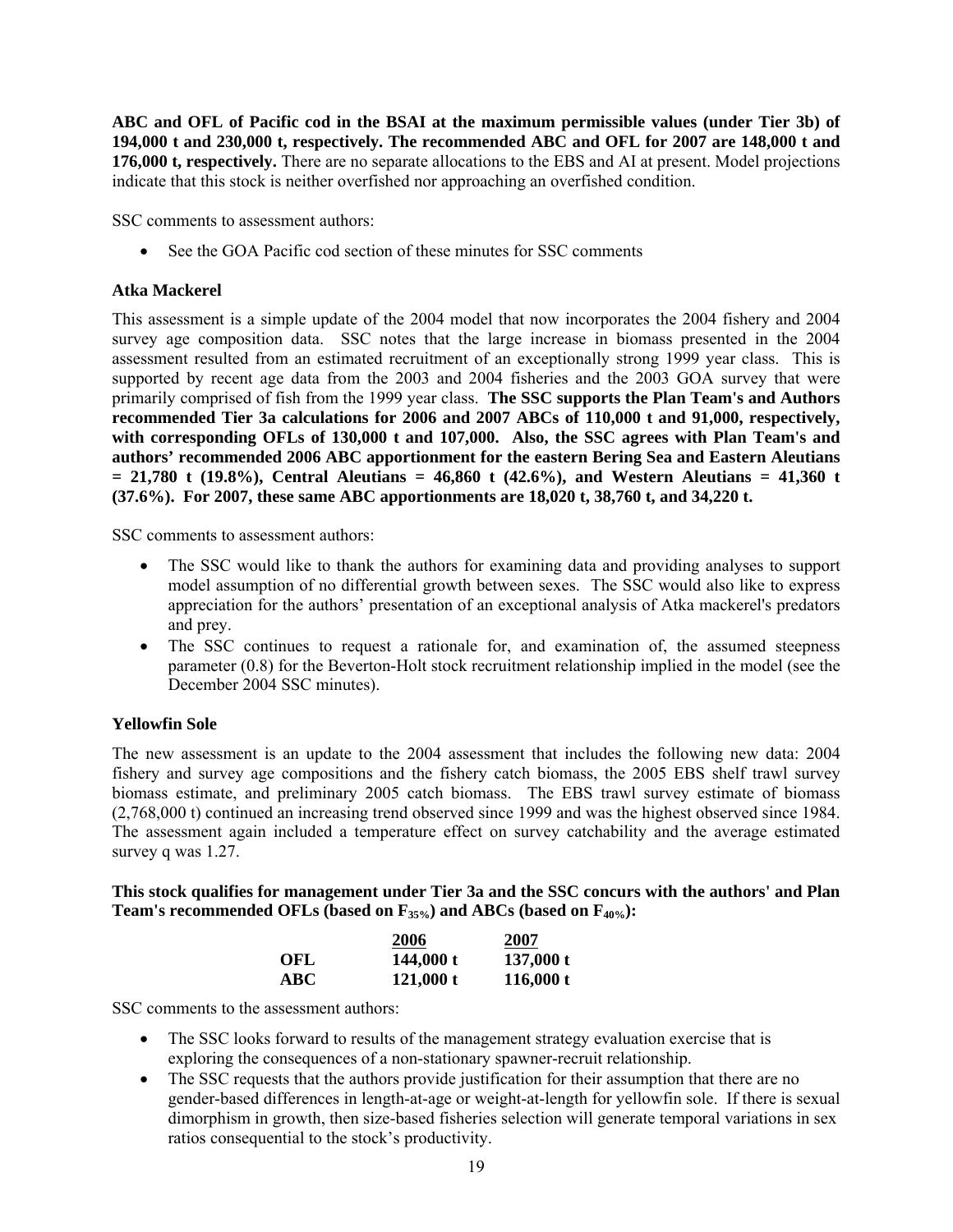**ABC and OFL of Pacific cod in the BSAI at the maximum permissible values (under Tier 3b) of 194,000 t and 230,000 t, respectively. The recommended ABC and OFL for 2007 are 148,000 t and 176,000 t, respectively.** There are no separate allocations to the EBS and AI at present. Model projections indicate that this stock is neither overfished nor approaching an overfished condition.

SSC comments to assessment authors:

• See the GOA Pacific cod section of these minutes for SSC comments

## **Atka Mackerel**

This assessment is a simple update of the 2004 model that now incorporates the 2004 fishery and 2004 survey age composition data. SSC notes that the large increase in biomass presented in the 2004 assessment resulted from an estimated recruitment of an exceptionally strong 1999 year class. This is supported by recent age data from the 2003 and 2004 fisheries and the 2003 GOA survey that were primarily comprised of fish from the 1999 year class. **The SSC supports the Plan Team's and Authors recommended Tier 3a calculations for 2006 and 2007 ABCs of 110,000 t and 91,000, respectively, with corresponding OFLs of 130,000 t and 107,000. Also, the SSC agrees with Plan Team's and authors' recommended 2006 ABC apportionment for the eastern Bering Sea and Eastern Aleutians = 21,780 t (19.8%), Central Aleutians = 46,860 t (42.6%), and Western Aleutians = 41,360 t (37.6%). For 2007, these same ABC apportionments are 18,020 t, 38,760 t, and 34,220 t.** 

SSC comments to assessment authors:

- The SSC would like to thank the authors for examining data and providing analyses to support model assumption of no differential growth between sexes. The SSC would also like to express appreciation for the authors' presentation of an exceptional analysis of Atka mackerel's predators and prey.
- The SSC continues to request a rationale for, and examination of, the assumed steepness parameter (0.8) for the Beverton-Holt stock recruitment relationship implied in the model (see the December 2004 SSC minutes).

## **Yellowfin Sole**

The new assessment is an update to the 2004 assessment that includes the following new data: 2004 fishery and survey age compositions and the fishery catch biomass, the 2005 EBS shelf trawl survey biomass estimate, and preliminary 2005 catch biomass. The EBS trawl survey estimate of biomass (2,768,000 t) continued an increasing trend observed since 1999 and was the highest observed since 1984. The assessment again included a temperature effect on survey catchability and the average estimated survey q was 1.27.

**This stock qualifies for management under Tier 3a and the SSC concurs with the authors' and Plan**  Team's recommended OFLs (based on F<sub>35%</sub>) and ABCs (based on F<sub>40%</sub>):

|            | 2006      | 2007      |
|------------|-----------|-----------|
| OFL        | 144,000 t | 137,000 t |
| <b>ABC</b> | 121,000 t | 116,000 t |

SSC comments to the assessment authors:

- The SSC looks forward to results of the management strategy evaluation exercise that is exploring the consequences of a non-stationary spawner-recruit relationship.
- The SSC requests that the authors provide justification for their assumption that there are no gender-based differences in length-at-age or weight-at-length for yellowfin sole. If there is sexual dimorphism in growth, then size-based fisheries selection will generate temporal variations in sex ratios consequential to the stock's productivity.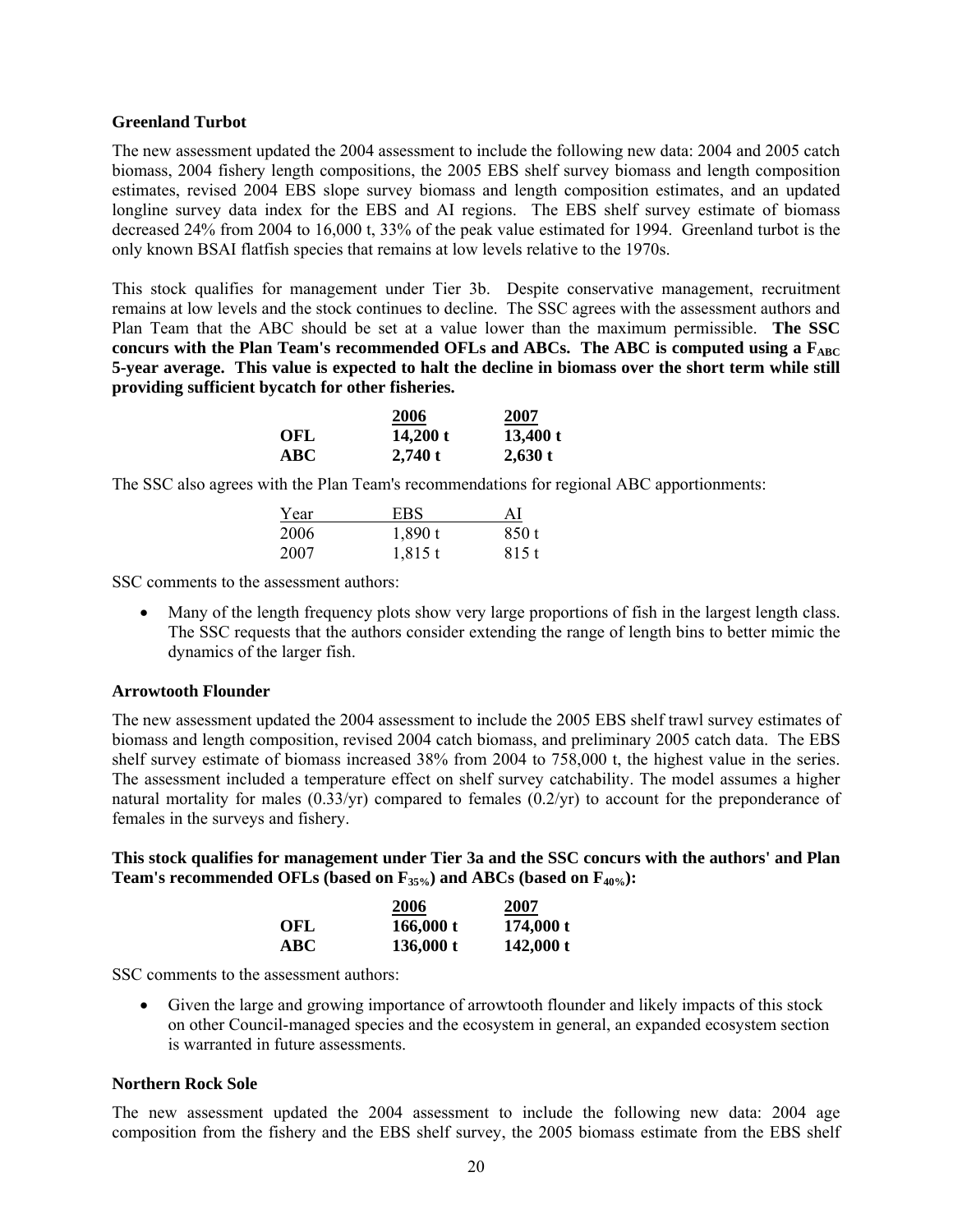#### **Greenland Turbot**

The new assessment updated the 2004 assessment to include the following new data: 2004 and 2005 catch biomass, 2004 fishery length compositions, the 2005 EBS shelf survey biomass and length composition estimates, revised 2004 EBS slope survey biomass and length composition estimates, and an updated longline survey data index for the EBS and AI regions. The EBS shelf survey estimate of biomass decreased 24% from 2004 to 16,000 t, 33% of the peak value estimated for 1994. Greenland turbot is the only known BSAI flatfish species that remains at low levels relative to the 1970s.

This stock qualifies for management under Tier 3b. Despite conservative management, recruitment remains at low levels and the stock continues to decline. The SSC agrees with the assessment authors and Plan Team that the ABC should be set at a value lower than the maximum permissible. **The SSC**  concurs with the Plan Team's recommended OFLs and ABCs. The ABC is computed using a  $F_{ABC}$ **5-year average. This value is expected to halt the decline in biomass over the short term while still providing sufficient bycatch for other fisheries.** 

|            | 2006      | 2007      |
|------------|-----------|-----------|
| OFL        | 14,200 t  | 13,400 t  |
| <b>ABC</b> | $2,740$ t | $2,630$ t |

The SSC also agrees with the Plan Team's recommendations for regional ABC apportionments:

| Year | EBS.      | ΑI    |
|------|-----------|-------|
| 2006 | 1,890 t   | 850 t |
| 2007 | $1,815$ t | 815 t |

SSC comments to the assessment authors:

• Many of the length frequency plots show very large proportions of fish in the largest length class. The SSC requests that the authors consider extending the range of length bins to better mimic the dynamics of the larger fish.

#### **Arrowtooth Flounder**

The new assessment updated the 2004 assessment to include the 2005 EBS shelf trawl survey estimates of biomass and length composition, revised 2004 catch biomass, and preliminary 2005 catch data. The EBS shelf survey estimate of biomass increased 38% from 2004 to 758,000 t, the highest value in the series. The assessment included a temperature effect on shelf survey catchability. The model assumes a higher natural mortality for males (0.33/yr) compared to females (0.2/yr) to account for the preponderance of females in the surveys and fishery.

## **This stock qualifies for management under Tier 3a and the SSC concurs with the authors' and Plan**  Team's recommended OFLs (based on F<sub>35%</sub>) and ABCs (based on F<sub>40%</sub>):

|     | 2006      | 2007      |
|-----|-----------|-----------|
| OFL | 166,000 t | 174,000 t |
| ABC | 136,000 t | 142,000 t |

SSC comments to the assessment authors:

• Given the large and growing importance of arrowtooth flounder and likely impacts of this stock on other Council-managed species and the ecosystem in general, an expanded ecosystem section is warranted in future assessments.

#### **Northern Rock Sole**

The new assessment updated the 2004 assessment to include the following new data: 2004 age composition from the fishery and the EBS shelf survey, the 2005 biomass estimate from the EBS shelf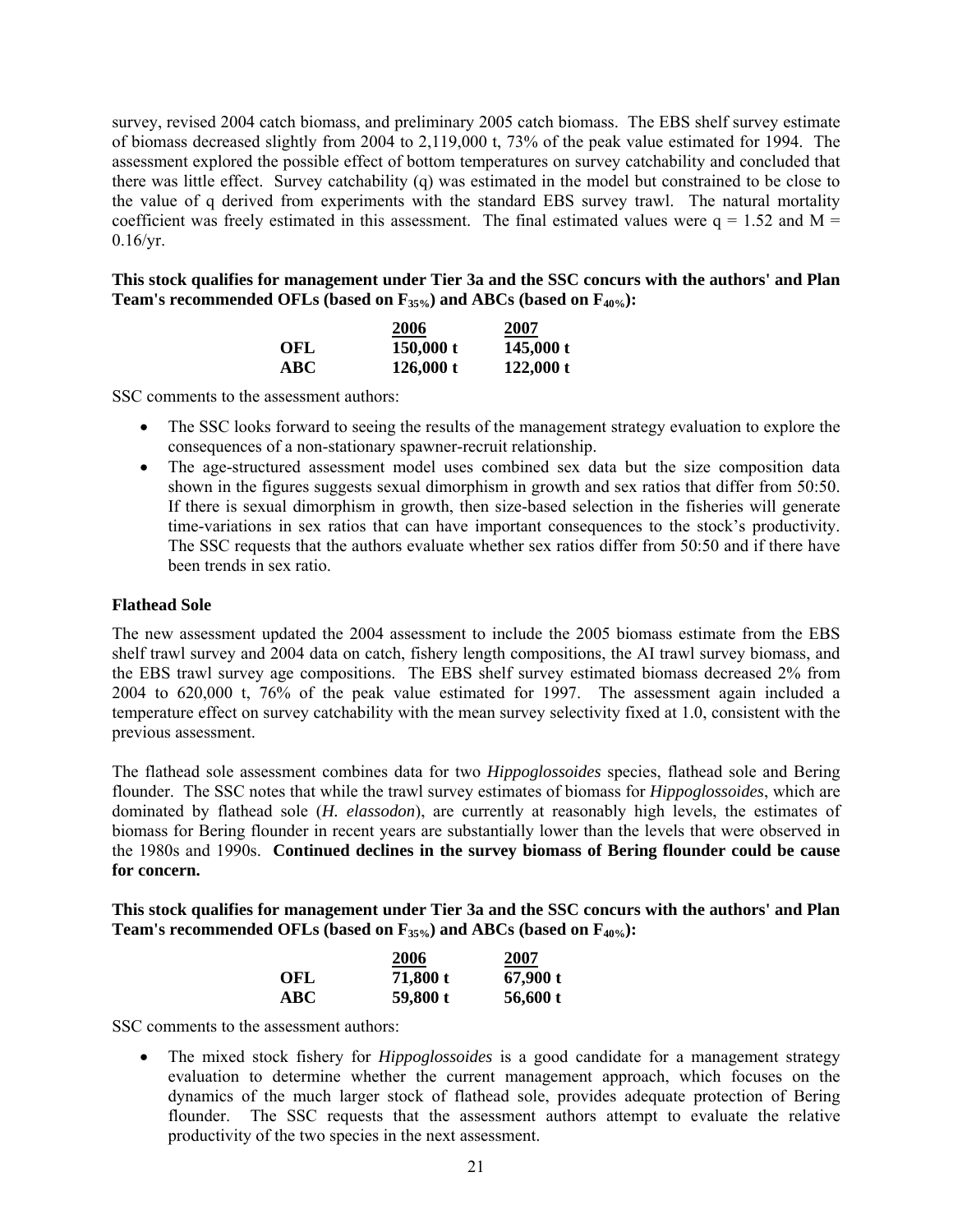survey, revised 2004 catch biomass, and preliminary 2005 catch biomass. The EBS shelf survey estimate of biomass decreased slightly from 2004 to 2,119,000 t, 73% of the peak value estimated for 1994. The assessment explored the possible effect of bottom temperatures on survey catchability and concluded that there was little effect. Survey catchability (q) was estimated in the model but constrained to be close to the value of q derived from experiments with the standard EBS survey trawl. The natural mortality coefficient was freely estimated in this assessment. The final estimated values were  $q = 1.52$  and  $M =$ 0.16/yr.

**This stock qualifies for management under Tier 3a and the SSC concurs with the authors' and Plan**  Team's recommended OFLs (based on F<sub>35%</sub>) and ABCs (based on F<sub>40%</sub>):

|     | 2006      | 2007      |
|-----|-----------|-----------|
| OFL | 150,000 t | 145,000 t |
| ABC | 126,000 t | 122,000 t |

SSC comments to the assessment authors:

- The SSC looks forward to seeing the results of the management strategy evaluation to explore the consequences of a non-stationary spawner-recruit relationship.
- The age-structured assessment model uses combined sex data but the size composition data shown in the figures suggests sexual dimorphism in growth and sex ratios that differ from 50:50. If there is sexual dimorphism in growth, then size-based selection in the fisheries will generate time-variations in sex ratios that can have important consequences to the stock's productivity. The SSC requests that the authors evaluate whether sex ratios differ from 50:50 and if there have been trends in sex ratio.

#### **Flathead Sole**

The new assessment updated the 2004 assessment to include the 2005 biomass estimate from the EBS shelf trawl survey and 2004 data on catch, fishery length compositions, the AI trawl survey biomass, and the EBS trawl survey age compositions. The EBS shelf survey estimated biomass decreased 2% from 2004 to 620,000 t, 76% of the peak value estimated for 1997. The assessment again included a temperature effect on survey catchability with the mean survey selectivity fixed at 1.0, consistent with the previous assessment.

The flathead sole assessment combines data for two *Hippoglossoides* species, flathead sole and Bering flounder. The SSC notes that while the trawl survey estimates of biomass for *Hippoglossoides*, which are dominated by flathead sole (*H. elassodon*), are currently at reasonably high levels, the estimates of biomass for Bering flounder in recent years are substantially lower than the levels that were observed in the 1980s and 1990s. **Continued declines in the survey biomass of Bering flounder could be cause for concern.** 

**This stock qualifies for management under Tier 3a and the SSC concurs with the authors' and Plan**  Team's recommended OFLs (based on F<sub>35%</sub>) and ABCs (based on F<sub>40%</sub>):

|            | 2006     | 2007     |
|------------|----------|----------|
| OFL        | 71,800 t | 67,900 t |
| <b>ABC</b> | 59,800 t | 56,600 t |

SSC comments to the assessment authors:

• The mixed stock fishery for *Hippoglossoides* is a good candidate for a management strategy evaluation to determine whether the current management approach, which focuses on the dynamics of the much larger stock of flathead sole, provides adequate protection of Bering flounder. The SSC requests that the assessment authors attempt to evaluate the relative productivity of the two species in the next assessment.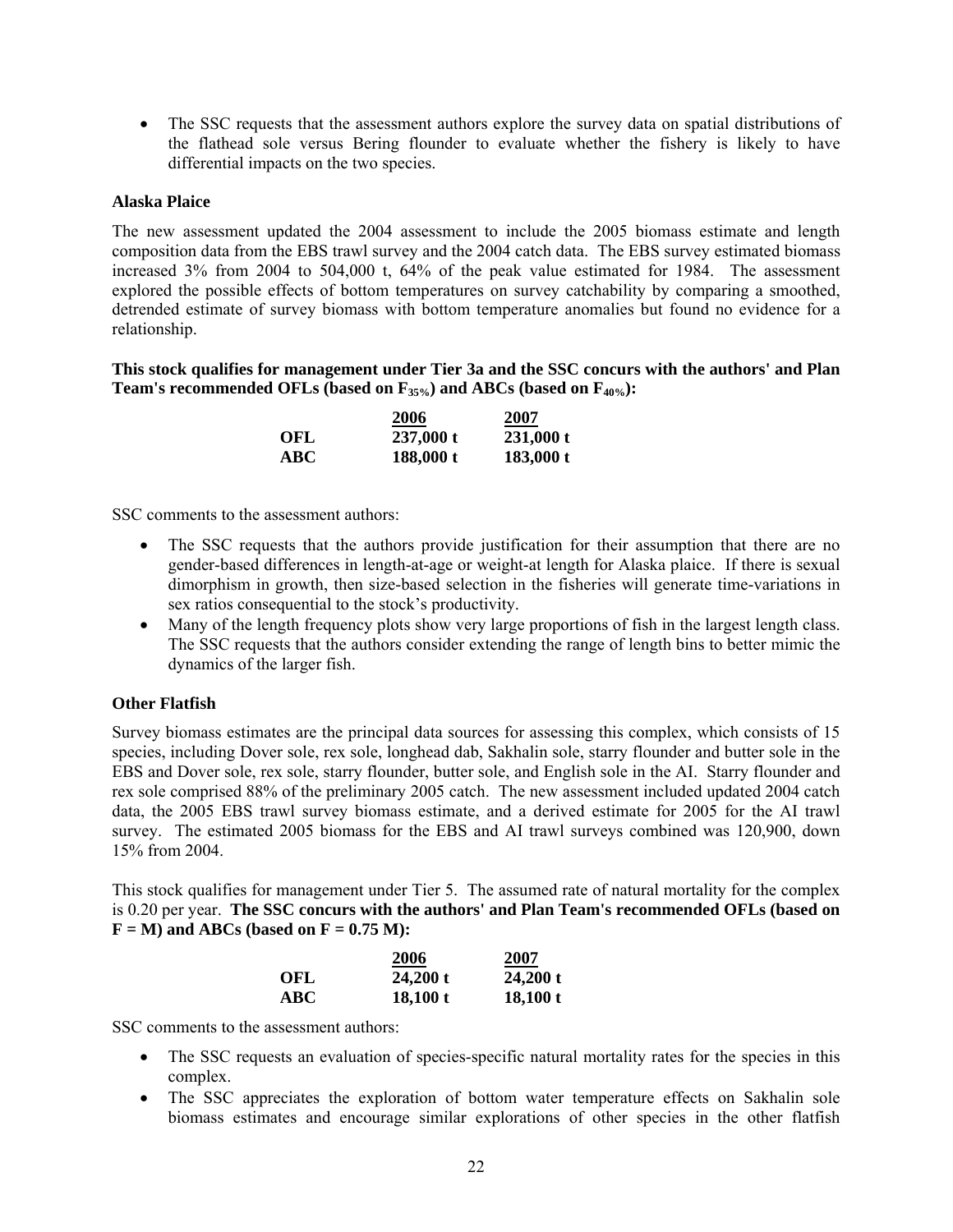• The SSC requests that the assessment authors explore the survey data on spatial distributions of the flathead sole versus Bering flounder to evaluate whether the fishery is likely to have differential impacts on the two species.

## **Alaska Plaice**

The new assessment updated the 2004 assessment to include the 2005 biomass estimate and length composition data from the EBS trawl survey and the 2004 catch data. The EBS survey estimated biomass increased 3% from 2004 to 504,000 t, 64% of the peak value estimated for 1984. The assessment explored the possible effects of bottom temperatures on survey catchability by comparing a smoothed, detrended estimate of survey biomass with bottom temperature anomalies but found no evidence for a relationship.

**This stock qualifies for management under Tier 3a and the SSC concurs with the authors' and Plan Team's recommended OFLs (based on F35%) and ABCs (based on F40%):** 

|     | 2006      | 2007      |
|-----|-----------|-----------|
| OFL | 237,000 t | 231,000 t |
| ABC | 188,000 t | 183,000 t |

SSC comments to the assessment authors:

- The SSC requests that the authors provide justification for their assumption that there are no gender-based differences in length-at-age or weight-at length for Alaska plaice. If there is sexual dimorphism in growth, then size-based selection in the fisheries will generate time-variations in sex ratios consequential to the stock's productivity.
- Many of the length frequency plots show very large proportions of fish in the largest length class. The SSC requests that the authors consider extending the range of length bins to better mimic the dynamics of the larger fish.

## **Other Flatfish**

Survey biomass estimates are the principal data sources for assessing this complex, which consists of 15 species, including Dover sole, rex sole, longhead dab, Sakhalin sole, starry flounder and butter sole in the EBS and Dover sole, rex sole, starry flounder, butter sole, and English sole in the AI. Starry flounder and rex sole comprised 88% of the preliminary 2005 catch. The new assessment included updated 2004 catch data, the 2005 EBS trawl survey biomass estimate, and a derived estimate for 2005 for the AI trawl survey. The estimated 2005 biomass for the EBS and AI trawl surveys combined was 120,900, down 15% from 2004.

This stock qualifies for management under Tier 5. The assumed rate of natural mortality for the complex is 0.20 per year. **The SSC concurs with the authors' and Plan Team's recommended OFLs (based on**   $F = M$ ) and ABCs (based on  $F = 0.75$  M):

|     | 2006     | 2007     |
|-----|----------|----------|
| OFL | 24,200 t | 24,200 t |
| ABC | 18,100 t | 18,100 t |

SSC comments to the assessment authors:

- The SSC requests an evaluation of species-specific natural mortality rates for the species in this complex.
- The SSC appreciates the exploration of bottom water temperature effects on Sakhalin sole biomass estimates and encourage similar explorations of other species in the other flatfish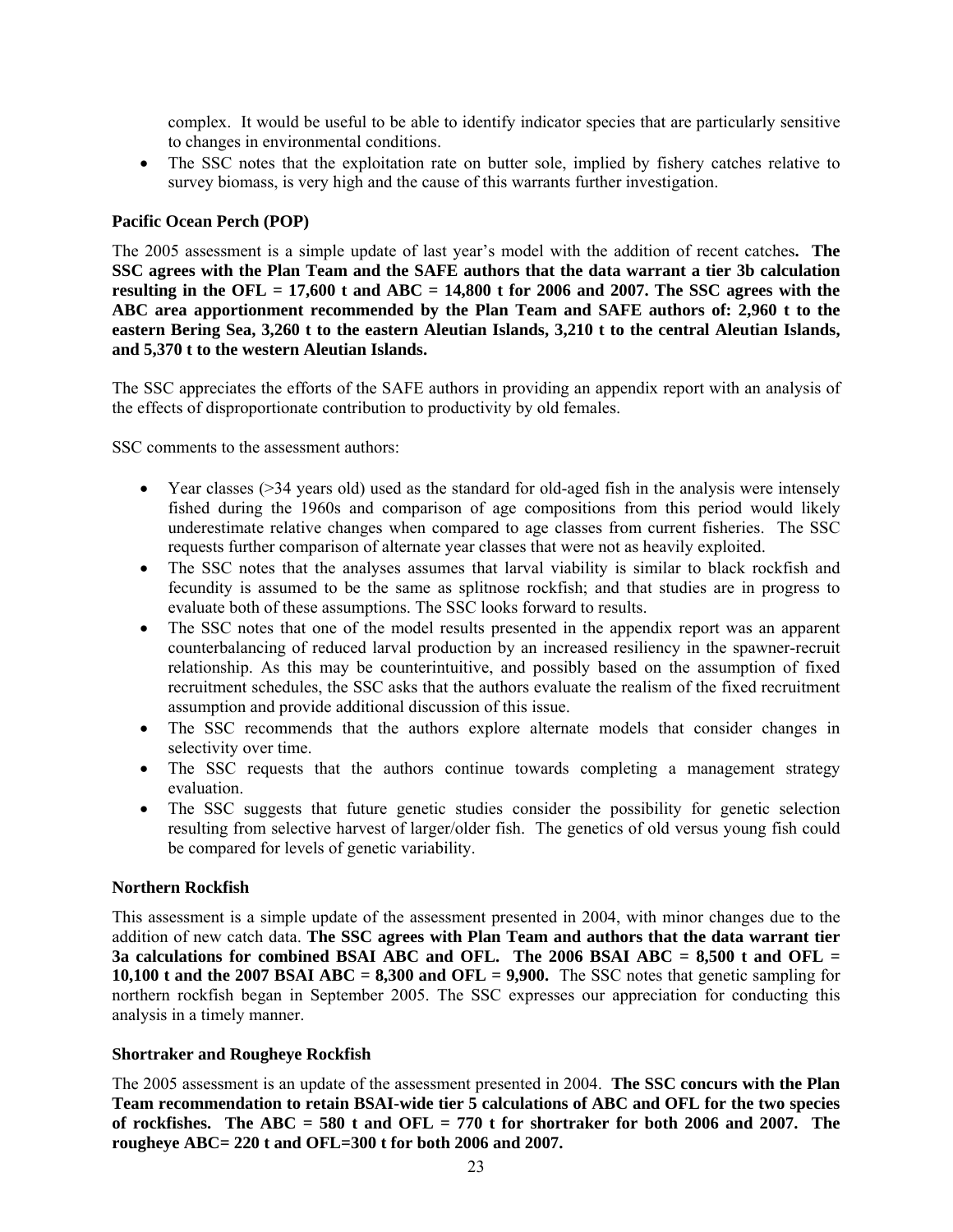complex. It would be useful to be able to identify indicator species that are particularly sensitive to changes in environmental conditions.

• The SSC notes that the exploitation rate on butter sole, implied by fishery catches relative to survey biomass, is very high and the cause of this warrants further investigation.

## **Pacific Ocean Perch (POP)**

The 2005 assessment is a simple update of last year's model with the addition of recent catches**. The SSC agrees with the Plan Team and the SAFE authors that the data warrant a tier 3b calculation resulting in the OFL = 17,600 t and ABC = 14,800 t for 2006 and 2007. The SSC agrees with the ABC area apportionment recommended by the Plan Team and SAFE authors of: 2,960 t to the eastern Bering Sea, 3,260 t to the eastern Aleutian Islands, 3,210 t to the central Aleutian Islands, and 5,370 t to the western Aleutian Islands.** 

The SSC appreciates the efforts of the SAFE authors in providing an appendix report with an analysis of the effects of disproportionate contribution to productivity by old females.

SSC comments to the assessment authors:

- Year classes (>34 years old) used as the standard for old-aged fish in the analysis were intensely fished during the 1960s and comparison of age compositions from this period would likely underestimate relative changes when compared to age classes from current fisheries. The SSC requests further comparison of alternate year classes that were not as heavily exploited.
- The SSC notes that the analyses assumes that larval viability is similar to black rockfish and fecundity is assumed to be the same as splitnose rockfish; and that studies are in progress to evaluate both of these assumptions. The SSC looks forward to results.
- The SSC notes that one of the model results presented in the appendix report was an apparent counterbalancing of reduced larval production by an increased resiliency in the spawner-recruit relationship. As this may be counterintuitive, and possibly based on the assumption of fixed recruitment schedules, the SSC asks that the authors evaluate the realism of the fixed recruitment assumption and provide additional discussion of this issue.
- The SSC recommends that the authors explore alternate models that consider changes in selectivity over time.
- The SSC requests that the authors continue towards completing a management strategy evaluation.
- The SSC suggests that future genetic studies consider the possibility for genetic selection resulting from selective harvest of larger/older fish. The genetics of old versus young fish could be compared for levels of genetic variability.

#### **Northern Rockfish**

This assessment is a simple update of the assessment presented in 2004, with minor changes due to the addition of new catch data. **The SSC agrees with Plan Team and authors that the data warrant tier 3a calculations for combined BSAI ABC and OFL. The 2006 BSAI ABC = 8,500 t and OFL = 10,100 t and the 2007 BSAI ABC = 8,300 and OFL = 9,900.** The SSC notes that genetic sampling for northern rockfish began in September 2005. The SSC expresses our appreciation for conducting this analysis in a timely manner.

## **Shortraker and Rougheye Rockfish**

The 2005 assessment is an update of the assessment presented in 2004. **The SSC concurs with the Plan Team recommendation to retain BSAI-wide tier 5 calculations of ABC and OFL for the two species**  of rockfishes. The  $ABC = 580$  t and  $OFL = 770$  t for shortraker for both 2006 and 2007. The **rougheye ABC= 220 t and OFL=300 t for both 2006 and 2007.**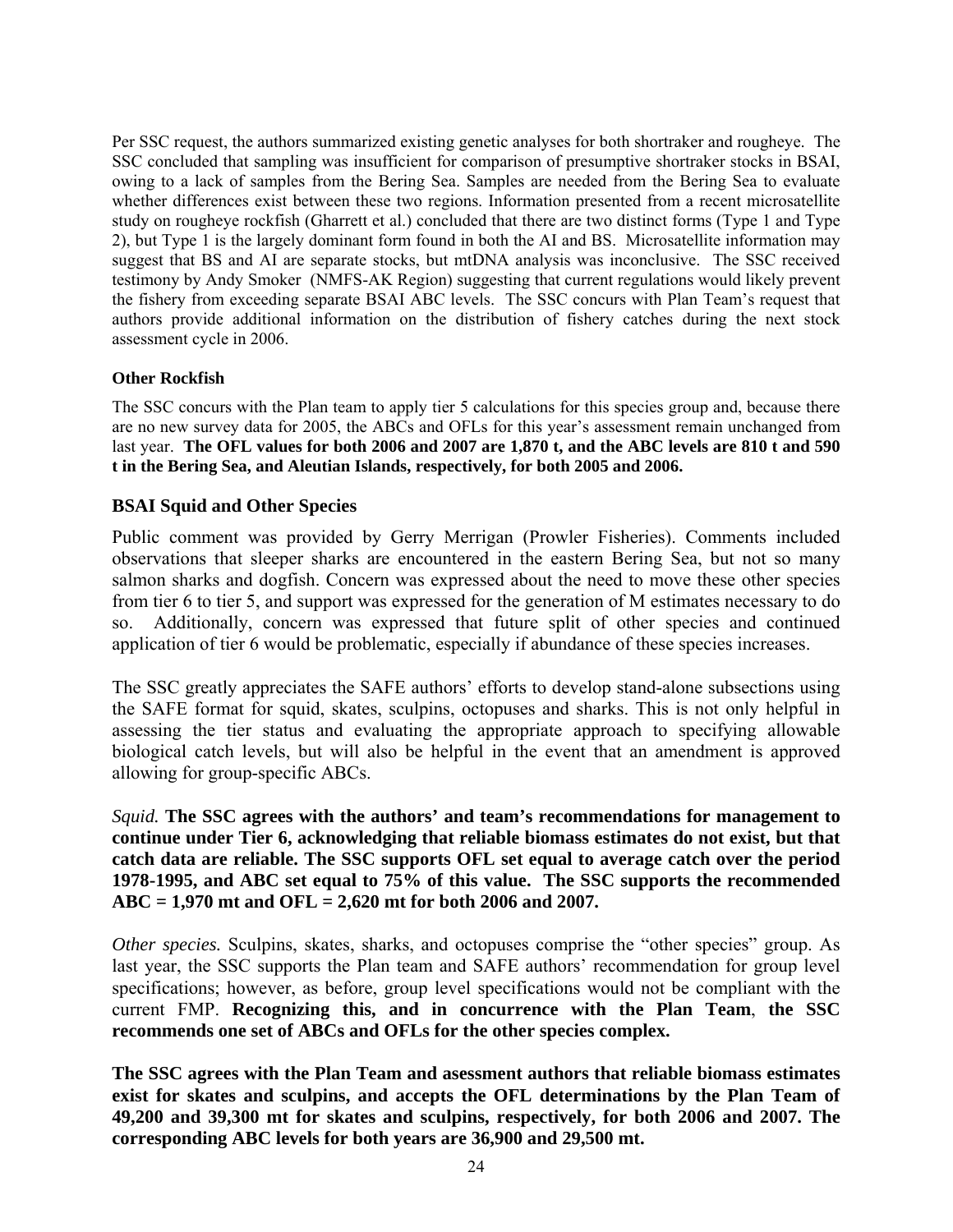Per SSC request, the authors summarized existing genetic analyses for both shortraker and rougheye. The SSC concluded that sampling was insufficient for comparison of presumptive shortraker stocks in BSAI, owing to a lack of samples from the Bering Sea. Samples are needed from the Bering Sea to evaluate whether differences exist between these two regions. Information presented from a recent microsatellite study on rougheye rockfish (Gharrett et al.) concluded that there are two distinct forms (Type 1 and Type 2), but Type 1 is the largely dominant form found in both the AI and BS. Microsatellite information may suggest that BS and AI are separate stocks, but mtDNA analysis was inconclusive. The SSC received testimony by Andy Smoker (NMFS-AK Region) suggesting that current regulations would likely prevent the fishery from exceeding separate BSAI ABC levels. The SSC concurs with Plan Team's request that authors provide additional information on the distribution of fishery catches during the next stock assessment cycle in 2006.

# **Other Rockfish**

The SSC concurs with the Plan team to apply tier 5 calculations for this species group and, because there are no new survey data for 2005, the ABCs and OFLs for this year's assessment remain unchanged from last year. **The OFL values for both 2006 and 2007 are 1,870 t, and the ABC levels are 810 t and 590 t in the Bering Sea, and Aleutian Islands, respectively, for both 2005 and 2006.**

# **BSAI Squid and Other Species**

Public comment was provided by Gerry Merrigan (Prowler Fisheries). Comments included observations that sleeper sharks are encountered in the eastern Bering Sea, but not so many salmon sharks and dogfish. Concern was expressed about the need to move these other species from tier 6 to tier 5, and support was expressed for the generation of M estimates necessary to do so. Additionally, concern was expressed that future split of other species and continued application of tier 6 would be problematic, especially if abundance of these species increases.

The SSC greatly appreciates the SAFE authors' efforts to develop stand-alone subsections using the SAFE format for squid, skates, sculpins, octopuses and sharks. This is not only helpful in assessing the tier status and evaluating the appropriate approach to specifying allowable biological catch levels, but will also be helpful in the event that an amendment is approved allowing for group-specific ABCs.

*Squid.* **The SSC agrees with the authors' and team's recommendations for management to continue under Tier 6, acknowledging that reliable biomass estimates do not exist, but that catch data are reliable. The SSC supports OFL set equal to average catch over the period 1978-1995, and ABC set equal to 75% of this value. The SSC supports the recommended ABC = 1,970 mt and OFL = 2,620 mt for both 2006 and 2007.** 

*Other species.* Sculpins, skates, sharks, and octopuses comprise the "other species" group. As last year, the SSC supports the Plan team and SAFE authors' recommendation for group level specifications; however, as before, group level specifications would not be compliant with the current FMP. **Recognizing this, and in concurrence with the Plan Team**, **the SSC recommends one set of ABCs and OFLs for the other species complex.**

**The SSC agrees with the Plan Team and asessment authors that reliable biomass estimates exist for skates and sculpins, and accepts the OFL determinations by the Plan Team of 49,200 and 39,300 mt for skates and sculpins, respectively, for both 2006 and 2007. The corresponding ABC levels for both years are 36,900 and 29,500 mt.**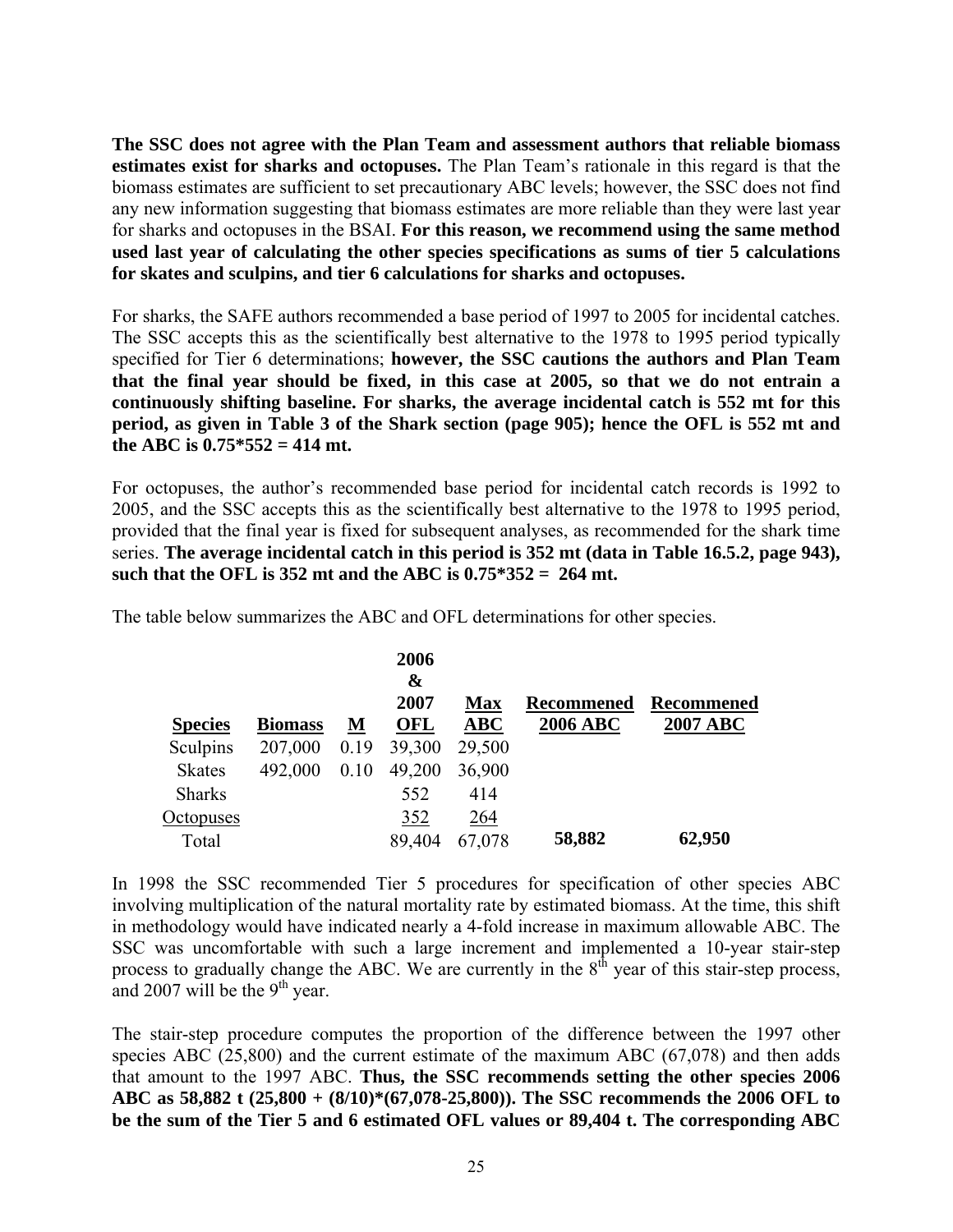**The SSC does not agree with the Plan Team and assessment authors that reliable biomass estimates exist for sharks and octopuses.** The Plan Team's rationale in this regard is that the biomass estimates are sufficient to set precautionary ABC levels; however, the SSC does not find any new information suggesting that biomass estimates are more reliable than they were last year for sharks and octopuses in the BSAI. **For this reason, we recommend using the same method used last year of calculating the other species specifications as sums of tier 5 calculations for skates and sculpins, and tier 6 calculations for sharks and octopuses.** 

For sharks, the SAFE authors recommended a base period of 1997 to 2005 for incidental catches. The SSC accepts this as the scientifically best alternative to the 1978 to 1995 period typically specified for Tier 6 determinations; **however, the SSC cautions the authors and Plan Team that the final year should be fixed, in this case at 2005, so that we do not entrain a continuously shifting baseline. For sharks, the average incidental catch is 552 mt for this period, as given in Table 3 of the Shark section (page 905); hence the OFL is 552 mt and the ABC is 0.75\*552 = 414 mt.**

For octopuses, the author's recommended base period for incidental catch records is 1992 to 2005, and the SSC accepts this as the scientifically best alternative to the 1978 to 1995 period, provided that the final year is fixed for subsequent analyses, as recommended for the shark time series. **The average incidental catch in this period is 352 mt (data in Table 16.5.2, page 943), such that the OFL is 352 mt and the ABC is 0.75\*352 = 264 mt.**

**Species Biomass M 2006 & 2007 OFL Max ABC Recommened Recommened 2006 ABC 2007 ABC** Sculpins 207,000 0.19 39,300 29,500 Skates 492,000 0.10 49,200 36,900 Sharks 552 414 Octopuses 352 264 Total 89,404 67,078 **58,882 62,950**

The table below summarizes the ABC and OFL determinations for other species.

In 1998 the SSC recommended Tier 5 procedures for specification of other species ABC involving multiplication of the natural mortality rate by estimated biomass. At the time, this shift in methodology would have indicated nearly a 4-fold increase in maximum allowable ABC. The SSC was uncomfortable with such a large increment and implemented a 10-year stair-step process to gradually change the ABC. We are currently in the  $8<sup>th</sup>$  year of this stair-step process, and 2007 will be the  $9<sup>th</sup>$  year.

The stair-step procedure computes the proportion of the difference between the 1997 other species ABC (25,800) and the current estimate of the maximum ABC (67,078) and then adds that amount to the 1997 ABC. **Thus, the SSC recommends setting the other species 2006 ABC as 58,882 t (25,800 + (8/10)\*(67,078-25,800)). The SSC recommends the 2006 OFL to be the sum of the Tier 5 and 6 estimated OFL values or 89,404 t. The corresponding ABC**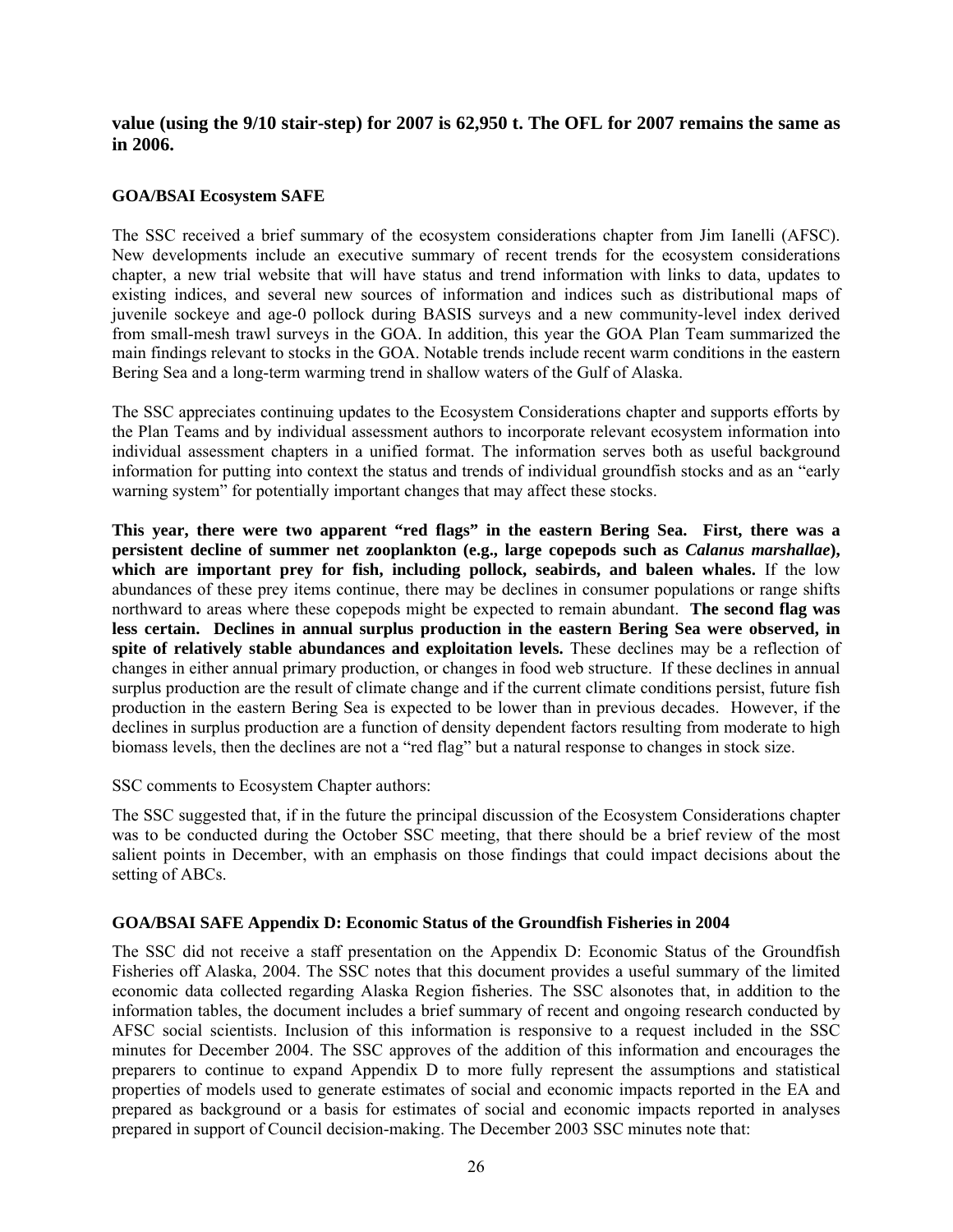**value (using the 9/10 stair-step) for 2007 is 62,950 t. The OFL for 2007 remains the same as in 2006.**

# **GOA/BSAI Ecosystem SAFE**

The SSC received a brief summary of the ecosystem considerations chapter from Jim Ianelli (AFSC). New developments include an executive summary of recent trends for the ecosystem considerations chapter, a new trial website that will have status and trend information with links to data, updates to existing indices, and several new sources of information and indices such as distributional maps of juvenile sockeye and age-0 pollock during BASIS surveys and a new community-level index derived from small-mesh trawl surveys in the GOA. In addition, this year the GOA Plan Team summarized the main findings relevant to stocks in the GOA. Notable trends include recent warm conditions in the eastern Bering Sea and a long-term warming trend in shallow waters of the Gulf of Alaska.

The SSC appreciates continuing updates to the Ecosystem Considerations chapter and supports efforts by the Plan Teams and by individual assessment authors to incorporate relevant ecosystem information into individual assessment chapters in a unified format. The information serves both as useful background information for putting into context the status and trends of individual groundfish stocks and as an "early warning system" for potentially important changes that may affect these stocks.

**This year, there were two apparent "red flags" in the eastern Bering Sea. First, there was a persistent decline of summer net zooplankton (e.g., large copepods such as** *Calanus marshallae***), which are important prey for fish, including pollock, seabirds, and baleen whales.** If the low abundances of these prey items continue, there may be declines in consumer populations or range shifts northward to areas where these copepods might be expected to remain abundant. **The second flag was less certain. Declines in annual surplus production in the eastern Bering Sea were observed, in spite of relatively stable abundances and exploitation levels.** These declines may be a reflection of changes in either annual primary production, or changes in food web structure. If these declines in annual surplus production are the result of climate change and if the current climate conditions persist, future fish production in the eastern Bering Sea is expected to be lower than in previous decades. However, if the declines in surplus production are a function of density dependent factors resulting from moderate to high biomass levels, then the declines are not a "red flag" but a natural response to changes in stock size.

SSC comments to Ecosystem Chapter authors:

The SSC suggested that, if in the future the principal discussion of the Ecosystem Considerations chapter was to be conducted during the October SSC meeting, that there should be a brief review of the most salient points in December, with an emphasis on those findings that could impact decisions about the setting of ABCs.

## **GOA/BSAI SAFE Appendix D: Economic Status of the Groundfish Fisheries in 2004**

The SSC did not receive a staff presentation on the Appendix D: Economic Status of the Groundfish Fisheries off Alaska, 2004. The SSC notes that this document provides a useful summary of the limited economic data collected regarding Alaska Region fisheries. The SSC alsonotes that, in addition to the information tables, the document includes a brief summary of recent and ongoing research conducted by AFSC social scientists. Inclusion of this information is responsive to a request included in the SSC minutes for December 2004. The SSC approves of the addition of this information and encourages the preparers to continue to expand Appendix D to more fully represent the assumptions and statistical properties of models used to generate estimates of social and economic impacts reported in the EA and prepared as background or a basis for estimates of social and economic impacts reported in analyses prepared in support of Council decision-making. The December 2003 SSC minutes note that: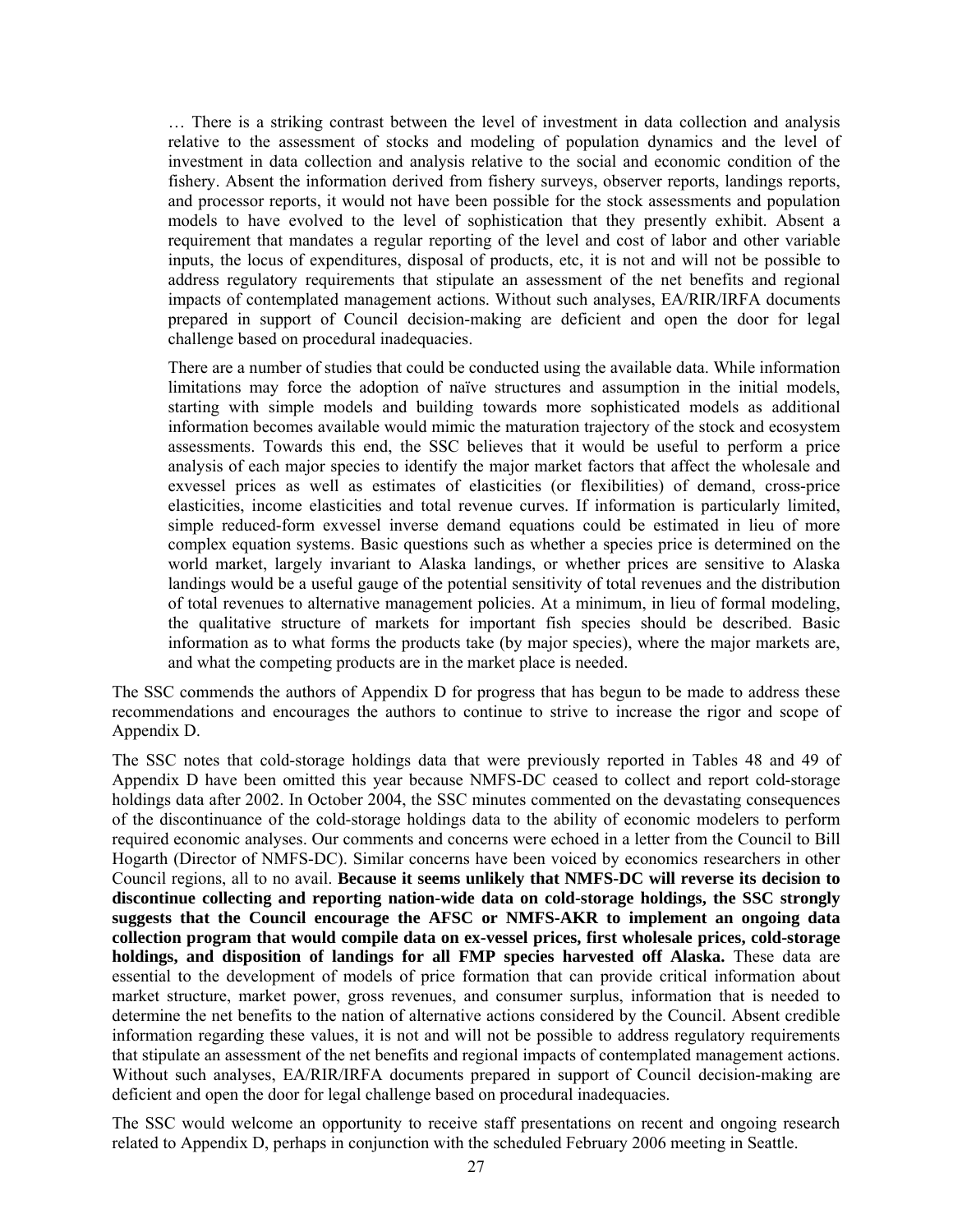… There is a striking contrast between the level of investment in data collection and analysis relative to the assessment of stocks and modeling of population dynamics and the level of investment in data collection and analysis relative to the social and economic condition of the fishery. Absent the information derived from fishery surveys, observer reports, landings reports, and processor reports, it would not have been possible for the stock assessments and population models to have evolved to the level of sophistication that they presently exhibit. Absent a requirement that mandates a regular reporting of the level and cost of labor and other variable inputs, the locus of expenditures, disposal of products, etc, it is not and will not be possible to address regulatory requirements that stipulate an assessment of the net benefits and regional impacts of contemplated management actions. Without such analyses, EA/RIR/IRFA documents prepared in support of Council decision-making are deficient and open the door for legal challenge based on procedural inadequacies.

There are a number of studies that could be conducted using the available data. While information limitations may force the adoption of naïve structures and assumption in the initial models, starting with simple models and building towards more sophisticated models as additional information becomes available would mimic the maturation trajectory of the stock and ecosystem assessments. Towards this end, the SSC believes that it would be useful to perform a price analysis of each major species to identify the major market factors that affect the wholesale and exvessel prices as well as estimates of elasticities (or flexibilities) of demand, cross-price elasticities, income elasticities and total revenue curves. If information is particularly limited, simple reduced-form exvessel inverse demand equations could be estimated in lieu of more complex equation systems. Basic questions such as whether a species price is determined on the world market, largely invariant to Alaska landings, or whether prices are sensitive to Alaska landings would be a useful gauge of the potential sensitivity of total revenues and the distribution of total revenues to alternative management policies. At a minimum, in lieu of formal modeling, the qualitative structure of markets for important fish species should be described. Basic information as to what forms the products take (by major species), where the major markets are, and what the competing products are in the market place is needed.

The SSC commends the authors of Appendix D for progress that has begun to be made to address these recommendations and encourages the authors to continue to strive to increase the rigor and scope of Appendix D.

The SSC notes that cold-storage holdings data that were previously reported in Tables 48 and 49 of Appendix D have been omitted this year because NMFS-DC ceased to collect and report cold-storage holdings data after 2002. In October 2004, the SSC minutes commented on the devastating consequences of the discontinuance of the cold-storage holdings data to the ability of economic modelers to perform required economic analyses. Our comments and concerns were echoed in a letter from the Council to Bill Hogarth (Director of NMFS-DC). Similar concerns have been voiced by economics researchers in other Council regions, all to no avail. **Because it seems unlikely that NMFS-DC will reverse its decision to discontinue collecting and reporting nation-wide data on cold-storage holdings, the SSC strongly suggests that the Council encourage the AFSC or NMFS-AKR to implement an ongoing data collection program that would compile data on ex-vessel prices, first wholesale prices, cold-storage holdings, and disposition of landings for all FMP species harvested off Alaska.** These data are essential to the development of models of price formation that can provide critical information about market structure, market power, gross revenues, and consumer surplus, information that is needed to determine the net benefits to the nation of alternative actions considered by the Council. Absent credible information regarding these values, it is not and will not be possible to address regulatory requirements that stipulate an assessment of the net benefits and regional impacts of contemplated management actions. Without such analyses, EA/RIR/IRFA documents prepared in support of Council decision-making are deficient and open the door for legal challenge based on procedural inadequacies.

The SSC would welcome an opportunity to receive staff presentations on recent and ongoing research related to Appendix D, perhaps in conjunction with the scheduled February 2006 meeting in Seattle.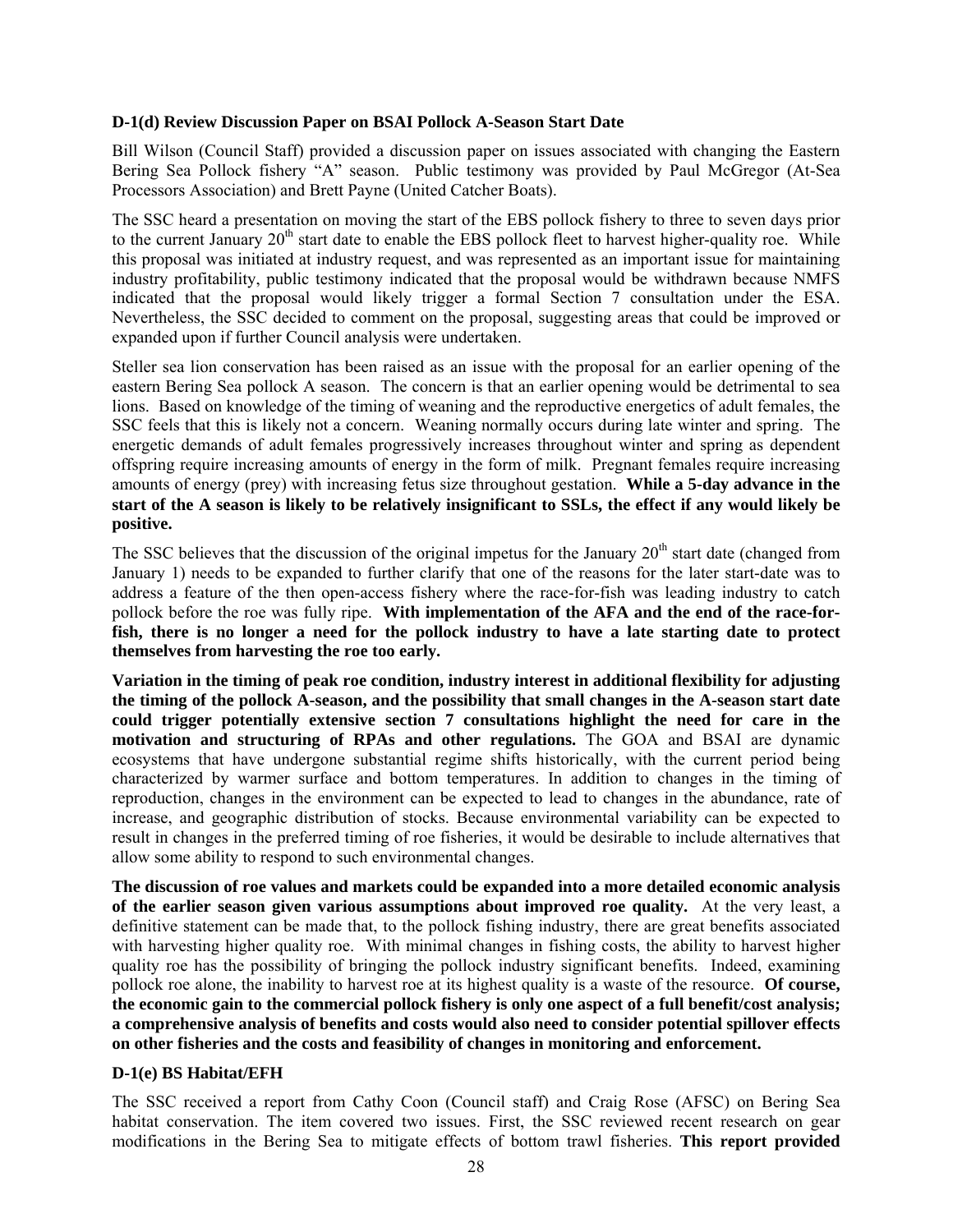#### **D-1(d) Review Discussion Paper on BSAI Pollock A-Season Start Date**

Bill Wilson (Council Staff) provided a discussion paper on issues associated with changing the Eastern Bering Sea Pollock fishery "A" season. Public testimony was provided by Paul McGregor (At-Sea Processors Association) and Brett Payne (United Catcher Boats).

The SSC heard a presentation on moving the start of the EBS pollock fishery to three to seven days prior to the current January 20<sup>th</sup> start date to enable the EBS pollock fleet to harvest higher-quality roe. While this proposal was initiated at industry request, and was represented as an important issue for maintaining industry profitability, public testimony indicated that the proposal would be withdrawn because NMFS indicated that the proposal would likely trigger a formal Section 7 consultation under the ESA. Nevertheless, the SSC decided to comment on the proposal, suggesting areas that could be improved or expanded upon if further Council analysis were undertaken.

Steller sea lion conservation has been raised as an issue with the proposal for an earlier opening of the eastern Bering Sea pollock A season. The concern is that an earlier opening would be detrimental to sea lions. Based on knowledge of the timing of weaning and the reproductive energetics of adult females, the SSC feels that this is likely not a concern. Weaning normally occurs during late winter and spring. The energetic demands of adult females progressively increases throughout winter and spring as dependent offspring require increasing amounts of energy in the form of milk. Pregnant females require increasing amounts of energy (prey) with increasing fetus size throughout gestation. **While a 5-day advance in the start of the A season is likely to be relatively insignificant to SSLs, the effect if any would likely be positive.**

The SSC believes that the discussion of the original impetus for the January  $20<sup>th</sup>$  start date (changed from January 1) needs to be expanded to further clarify that one of the reasons for the later start-date was to address a feature of the then open-access fishery where the race-for-fish was leading industry to catch pollock before the roe was fully ripe. **With implementation of the AFA and the end of the race-forfish, there is no longer a need for the pollock industry to have a late starting date to protect themselves from harvesting the roe too early.**

**Variation in the timing of peak roe condition, industry interest in additional flexibility for adjusting the timing of the pollock A-season, and the possibility that small changes in the A-season start date could trigger potentially extensive section 7 consultations highlight the need for care in the motivation and structuring of RPAs and other regulations.** The GOA and BSAI are dynamic ecosystems that have undergone substantial regime shifts historically, with the current period being characterized by warmer surface and bottom temperatures. In addition to changes in the timing of reproduction, changes in the environment can be expected to lead to changes in the abundance, rate of increase, and geographic distribution of stocks. Because environmental variability can be expected to result in changes in the preferred timing of roe fisheries, it would be desirable to include alternatives that allow some ability to respond to such environmental changes.

**The discussion of roe values and markets could be expanded into a more detailed economic analysis of the earlier season given various assumptions about improved roe quality.** At the very least, a definitive statement can be made that, to the pollock fishing industry, there are great benefits associated with harvesting higher quality roe. With minimal changes in fishing costs, the ability to harvest higher quality roe has the possibility of bringing the pollock industry significant benefits. Indeed, examining pollock roe alone, the inability to harvest roe at its highest quality is a waste of the resource. **Of course, the economic gain to the commercial pollock fishery is only one aspect of a full benefit/cost analysis; a comprehensive analysis of benefits and costs would also need to consider potential spillover effects on other fisheries and the costs and feasibility of changes in monitoring and enforcement.**

## **D-1(e) BS Habitat/EFH**

The SSC received a report from Cathy Coon (Council staff) and Craig Rose (AFSC) on Bering Sea habitat conservation. The item covered two issues. First, the SSC reviewed recent research on gear modifications in the Bering Sea to mitigate effects of bottom trawl fisheries. **This report provided**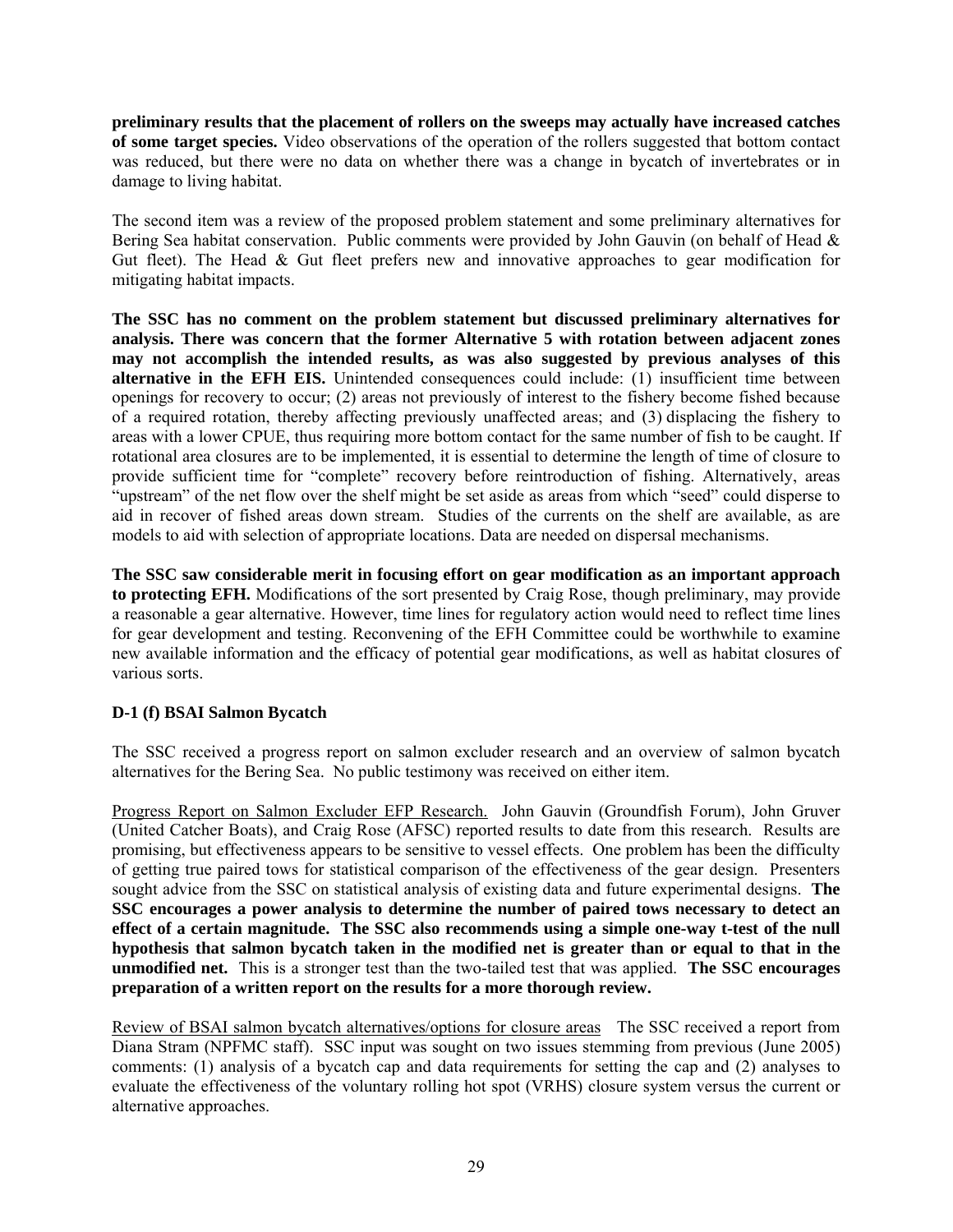**preliminary results that the placement of rollers on the sweeps may actually have increased catches of some target species.** Video observations of the operation of the rollers suggested that bottom contact was reduced, but there were no data on whether there was a change in bycatch of invertebrates or in damage to living habitat.

The second item was a review of the proposed problem statement and some preliminary alternatives for Bering Sea habitat conservation. Public comments were provided by John Gauvin (on behalf of Head & Gut fleet). The Head  $\&$  Gut fleet prefers new and innovative approaches to gear modification for mitigating habitat impacts.

**The SSC has no comment on the problem statement but discussed preliminary alternatives for analysis. There was concern that the former Alternative 5 with rotation between adjacent zones may not accomplish the intended results, as was also suggested by previous analyses of this alternative in the EFH EIS.** Unintended consequences could include: (1) insufficient time between openings for recovery to occur; (2) areas not previously of interest to the fishery become fished because of a required rotation, thereby affecting previously unaffected areas; and (3) displacing the fishery to areas with a lower CPUE, thus requiring more bottom contact for the same number of fish to be caught. If rotational area closures are to be implemented, it is essential to determine the length of time of closure to provide sufficient time for "complete" recovery before reintroduction of fishing. Alternatively, areas "upstream" of the net flow over the shelf might be set aside as areas from which "seed" could disperse to aid in recover of fished areas down stream. Studies of the currents on the shelf are available, as are models to aid with selection of appropriate locations. Data are needed on dispersal mechanisms.

**The SSC saw considerable merit in focusing effort on gear modification as an important approach to protecting EFH.** Modifications of the sort presented by Craig Rose, though preliminary, may provide a reasonable a gear alternative. However, time lines for regulatory action would need to reflect time lines for gear development and testing. Reconvening of the EFH Committee could be worthwhile to examine new available information and the efficacy of potential gear modifications, as well as habitat closures of various sorts.

# **D-1 (f) BSAI Salmon Bycatch**

The SSC received a progress report on salmon excluder research and an overview of salmon bycatch alternatives for the Bering Sea. No public testimony was received on either item.

Progress Report on Salmon Excluder EFP Research. John Gauvin (Groundfish Forum), John Gruver (United Catcher Boats), and Craig Rose (AFSC) reported results to date from this research. Results are promising, but effectiveness appears to be sensitive to vessel effects. One problem has been the difficulty of getting true paired tows for statistical comparison of the effectiveness of the gear design. Presenters sought advice from the SSC on statistical analysis of existing data and future experimental designs. **The SSC encourages a power analysis to determine the number of paired tows necessary to detect an effect of a certain magnitude. The SSC also recommends using a simple one-way t-test of the null hypothesis that salmon bycatch taken in the modified net is greater than or equal to that in the unmodified net.** This is a stronger test than the two-tailed test that was applied. **The SSC encourages preparation of a written report on the results for a more thorough review.**

Review of BSAI salmon bycatch alternatives/options for closure areas The SSC received a report from Diana Stram (NPFMC staff). SSC input was sought on two issues stemming from previous (June 2005) comments: (1) analysis of a bycatch cap and data requirements for setting the cap and (2) analyses to evaluate the effectiveness of the voluntary rolling hot spot (VRHS) closure system versus the current or alternative approaches.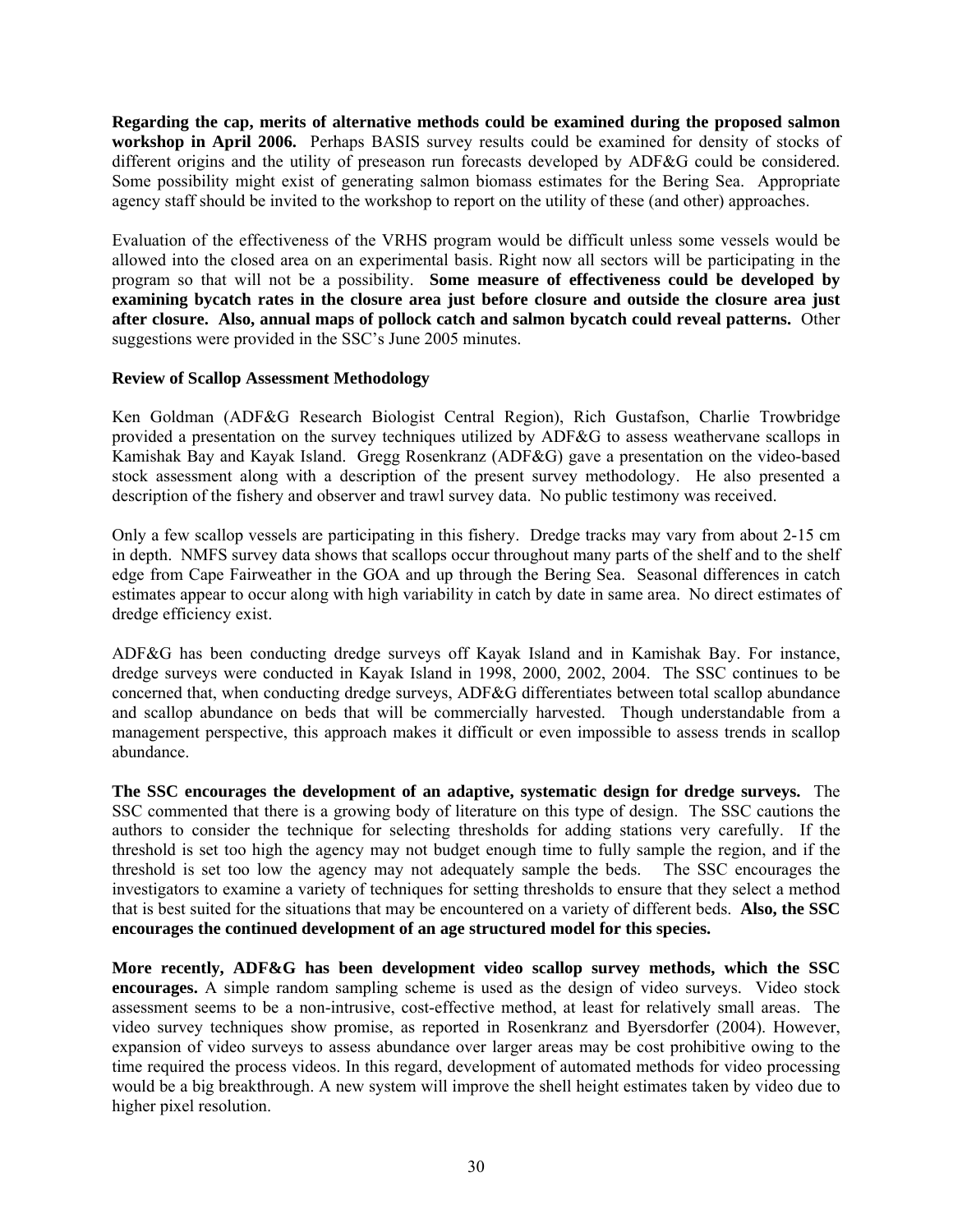**Regarding the cap, merits of alternative methods could be examined during the proposed salmon workshop in April 2006.** Perhaps BASIS survey results could be examined for density of stocks of different origins and the utility of preseason run forecasts developed by ADF&G could be considered. Some possibility might exist of generating salmon biomass estimates for the Bering Sea. Appropriate agency staff should be invited to the workshop to report on the utility of these (and other) approaches.

Evaluation of the effectiveness of the VRHS program would be difficult unless some vessels would be allowed into the closed area on an experimental basis. Right now all sectors will be participating in the program so that will not be a possibility. **Some measure of effectiveness could be developed by examining bycatch rates in the closure area just before closure and outside the closure area just after closure. Also, annual maps of pollock catch and salmon bycatch could reveal patterns.** Other suggestions were provided in the SSC's June 2005 minutes.

## **Review of Scallop Assessment Methodology**

Ken Goldman (ADF&G Research Biologist Central Region), Rich Gustafson, Charlie Trowbridge provided a presentation on the survey techniques utilized by ADF&G to assess weathervane scallops in Kamishak Bay and Kayak Island. Gregg Rosenkranz (ADF&G) gave a presentation on the video-based stock assessment along with a description of the present survey methodology. He also presented a description of the fishery and observer and trawl survey data. No public testimony was received.

Only a few scallop vessels are participating in this fishery. Dredge tracks may vary from about 2-15 cm in depth. NMFS survey data shows that scallops occur throughout many parts of the shelf and to the shelf edge from Cape Fairweather in the GOA and up through the Bering Sea. Seasonal differences in catch estimates appear to occur along with high variability in catch by date in same area. No direct estimates of dredge efficiency exist.

ADF&G has been conducting dredge surveys off Kayak Island and in Kamishak Bay. For instance, dredge surveys were conducted in Kayak Island in 1998, 2000, 2002, 2004. The SSC continues to be concerned that, when conducting dredge surveys, ADF&G differentiates between total scallop abundance and scallop abundance on beds that will be commercially harvested. Though understandable from a management perspective, this approach makes it difficult or even impossible to assess trends in scallop abundance.

**The SSC encourages the development of an adaptive, systematic design for dredge surveys.** The SSC commented that there is a growing body of literature on this type of design. The SSC cautions the authors to consider the technique for selecting thresholds for adding stations very carefully. If the threshold is set too high the agency may not budget enough time to fully sample the region, and if the threshold is set too low the agency may not adequately sample the beds. The SSC encourages the investigators to examine a variety of techniques for setting thresholds to ensure that they select a method that is best suited for the situations that may be encountered on a variety of different beds. **Also, the SSC encourages the continued development of an age structured model for this species.**

**More recently, ADF&G has been development video scallop survey methods, which the SSC encourages.** A simple random sampling scheme is used as the design of video surveys. Video stock assessment seems to be a non-intrusive, cost-effective method, at least for relatively small areas. The video survey techniques show promise, as reported in Rosenkranz and Byersdorfer (2004). However, expansion of video surveys to assess abundance over larger areas may be cost prohibitive owing to the time required the process videos. In this regard, development of automated methods for video processing would be a big breakthrough. A new system will improve the shell height estimates taken by video due to higher pixel resolution.